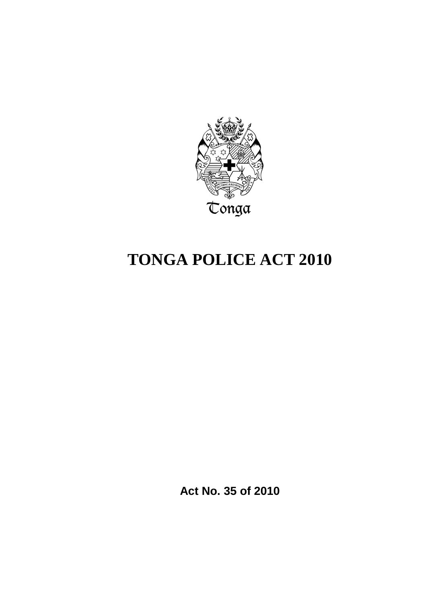

# **TONGA POLICE ACT 2010**

**Act No. 35 of 2010**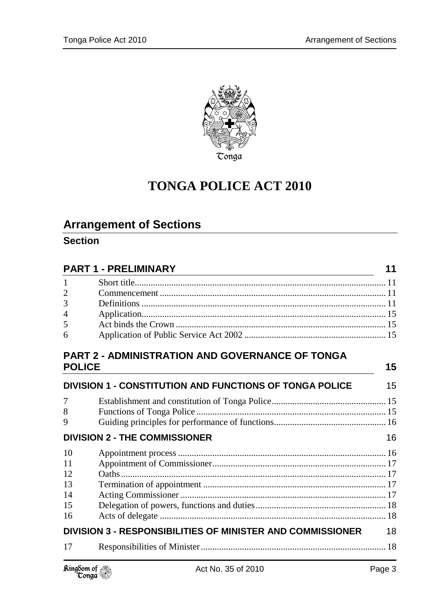

## **TONGA POLICE ACT 2010**

## **Arrangement of Sections**

### **Section**

| <b>PART 1 - PRELIMINARY</b><br><u> 1980 - Johann Barn, amerikan besteman besteman besteman besteman besteman besteman besteman besteman bestema</u> |                                                                   | 11 |
|-----------------------------------------------------------------------------------------------------------------------------------------------------|-------------------------------------------------------------------|----|
| $\mathbf{1}$                                                                                                                                        |                                                                   |    |
| $\overline{2}$                                                                                                                                      |                                                                   |    |
| 3                                                                                                                                                   |                                                                   |    |
| 4                                                                                                                                                   |                                                                   |    |
| 5                                                                                                                                                   |                                                                   |    |
| 6                                                                                                                                                   |                                                                   |    |
| <b>POLICE</b>                                                                                                                                       | <b>PART 2 - ADMINISTRATION AND GOVERNANCE OF TONGA</b>            | 15 |
|                                                                                                                                                     |                                                                   |    |
|                                                                                                                                                     | DIVISION 1 - CONSTITUTION AND FUNCTIONS OF TONGA POLICE           | 15 |
| 7                                                                                                                                                   |                                                                   |    |
| 8                                                                                                                                                   |                                                                   |    |
| 9                                                                                                                                                   |                                                                   |    |
| <b>DIVISION 2 - THE COMMISSIONER</b>                                                                                                                |                                                                   | 16 |
| 10                                                                                                                                                  |                                                                   |    |
| 11                                                                                                                                                  |                                                                   |    |
| 12                                                                                                                                                  |                                                                   |    |
| 13                                                                                                                                                  |                                                                   |    |
| 14                                                                                                                                                  |                                                                   |    |
| 15                                                                                                                                                  |                                                                   |    |
| 16                                                                                                                                                  |                                                                   |    |
|                                                                                                                                                     | <b>DIVISION 3 - RESPONSIBILITIES OF MINISTER AND COMMISSIONER</b> | 18 |
| 17                                                                                                                                                  |                                                                   |    |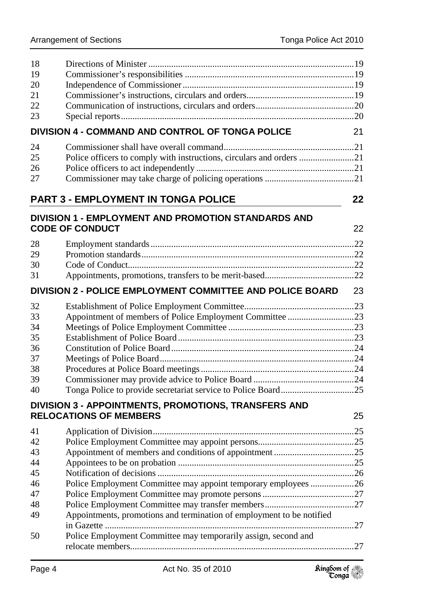| 18 |                                                                                       |    |
|----|---------------------------------------------------------------------------------------|----|
| 19 |                                                                                       |    |
| 20 |                                                                                       |    |
| 21 |                                                                                       |    |
| 22 |                                                                                       |    |
| 23 |                                                                                       |    |
|    | DIVISION 4 - COMMAND AND CONTROL OF TONGA POLICE                                      | 21 |
| 24 |                                                                                       |    |
| 25 | Police officers to comply with instructions, circulars and orders 21                  |    |
| 26 |                                                                                       |    |
| 27 |                                                                                       |    |
|    | <b>PART 3 - EMPLOYMENT IN TONGA POLICE</b>                                            | 22 |
|    | <b>DIVISION 1 - EMPLOYMENT AND PROMOTION STANDARDS AND</b><br><b>CODE OF CONDUCT</b>  | 22 |
| 28 |                                                                                       |    |
| 29 |                                                                                       |    |
| 30 |                                                                                       |    |
| 31 |                                                                                       |    |
|    | DIVISION 2 - POLICE EMPLOYMENT COMMITTEE AND POLICE BOARD                             | 23 |
| 32 |                                                                                       |    |
| 33 | Appointment of members of Police Employment Committee 23                              |    |
| 34 |                                                                                       |    |
| 35 |                                                                                       |    |
| 36 |                                                                                       |    |
| 37 |                                                                                       |    |
| 38 |                                                                                       |    |
| 39 |                                                                                       |    |
| 40 |                                                                                       |    |
|    | DIVISION 3 - APPOINTMENTS, PROMOTIONS, TRANSFERS AND<br><b>RELOCATIONS OF MEMBERS</b> | 25 |
|    |                                                                                       |    |
|    |                                                                                       |    |
| 42 |                                                                                       |    |
| 43 |                                                                                       |    |
| 44 |                                                                                       |    |
| 45 |                                                                                       |    |
| 46 | Police Employment Committee may appoint temporary employees 26                        |    |
| 47 |                                                                                       |    |
| 48 |                                                                                       |    |
| 49 | Appointments, promotions and termination of employment to be notified                 |    |
|    |                                                                                       |    |
| 50 | Police Employment Committee may temporarily assign, second and                        |    |
|    |                                                                                       |    |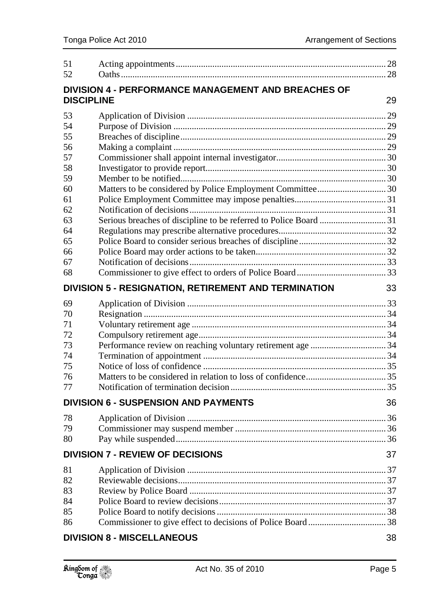| 51                |                                                      |    |
|-------------------|------------------------------------------------------|----|
| 52                |                                                      |    |
|                   | DIVISION 4 - PERFORMANCE MANAGEMENT AND BREACHES OF  |    |
| <b>DISCIPLINE</b> |                                                      | 29 |
| 53                |                                                      |    |
| 54                |                                                      |    |
| 55                |                                                      |    |
| 56                |                                                      |    |
| 57                |                                                      |    |
| 58                |                                                      |    |
| 59                |                                                      |    |
| 60                |                                                      |    |
| 61                |                                                      |    |
| 62                |                                                      |    |
| 63                |                                                      |    |
| 64                |                                                      |    |
| 65                |                                                      |    |
| 66                |                                                      |    |
| 67                |                                                      |    |
| 68                |                                                      |    |
|                   | DIVISION 5 - RESIGNATION, RETIREMENT AND TERMINATION | 33 |
| 69                |                                                      |    |
| 70                |                                                      |    |
| 71                |                                                      |    |
| 72                |                                                      |    |
| 73                |                                                      |    |
| 74                |                                                      |    |
| 75                |                                                      |    |
| 76                |                                                      |    |
| 77                |                                                      |    |
|                   | <b>DIVISION 6 - SUSPENSION AND PAYMENTS</b>          | 36 |
| 78                |                                                      |    |
| 79                |                                                      |    |
| 80                |                                                      |    |
|                   | <b>DIVISION 7 - REVIEW OF DECISIONS</b>              |    |
| 81                |                                                      |    |
| 82                |                                                      |    |
| 83                |                                                      |    |
| 84                |                                                      |    |
| 85                |                                                      |    |
| 86                |                                                      |    |
|                   | <b>DIVISION 8 - MISCELLANEOUS</b>                    | 38 |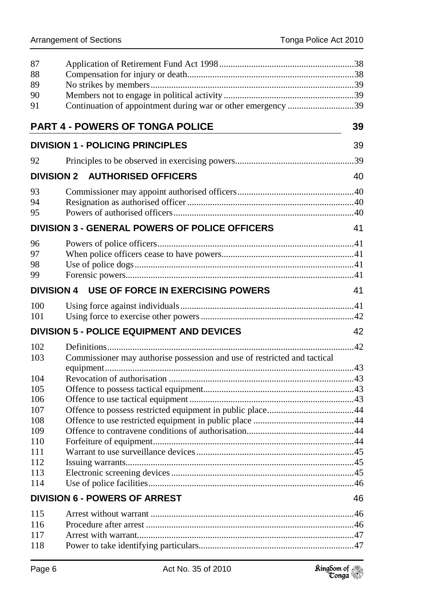| 88                                                                              |    |
|---------------------------------------------------------------------------------|----|
| 89                                                                              |    |
| 90                                                                              |    |
| Continuation of appointment during war or other emergency 39<br>91              |    |
| <b>PART 4 - POWERS OF TONGA POLICE</b>                                          | 39 |
| <b>DIVISION 1 - POLICING PRINCIPLES</b>                                         | 39 |
| 92                                                                              |    |
| <b>DIVISION 2 AUTHORISED OFFICERS</b>                                           | 40 |
| 93                                                                              |    |
| 94                                                                              |    |
| 95                                                                              |    |
| <b>DIVISION 3 - GENERAL POWERS OF POLICE OFFICERS</b>                           | 41 |
| 96                                                                              |    |
| 97                                                                              |    |
| 98                                                                              |    |
| 99                                                                              |    |
| <b>DIVISION 4 USE OF FORCE IN EXERCISING POWERS</b>                             | 41 |
| 100                                                                             |    |
| 101                                                                             |    |
| <b>DIVISION 5 - POLICE EQUIPMENT AND DEVICES</b>                                | 42 |
| 102                                                                             |    |
| Commissioner may authorise possession and use of restricted and tactical<br>103 |    |
|                                                                                 |    |
| 104                                                                             |    |
|                                                                                 |    |
| 105                                                                             |    |
| 106                                                                             |    |
| 107                                                                             |    |
| 108                                                                             |    |
| 109                                                                             |    |
| 110                                                                             |    |
| 111                                                                             |    |
| 112                                                                             |    |
| 113                                                                             |    |
| 114<br><b>DIVISION 6 - POWERS OF ARREST</b>                                     | 46 |
|                                                                                 |    |
| 115<br>116                                                                      |    |

Power to take identifying particulars.................................................................... 47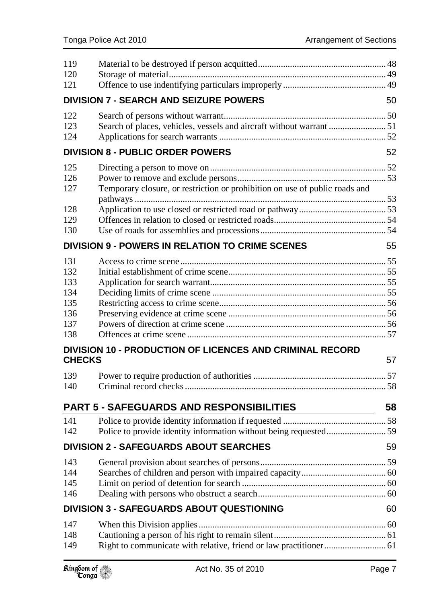| 119<br>120<br>121                                    |                                                                             |    |
|------------------------------------------------------|-----------------------------------------------------------------------------|----|
|                                                      | <b>DIVISION 7 - SEARCH AND SEIZURE POWERS</b>                               | 50 |
| 122<br>123<br>124                                    | Search of places, vehicles, vessels and aircraft without warrant 51         |    |
|                                                      | <b>DIVISION 8 - PUBLIC ORDER POWERS</b>                                     | 52 |
| 125<br>126<br>127                                    | Temporary closure, or restriction or prohibition on use of public roads and |    |
| 128<br>129<br>130                                    |                                                                             |    |
|                                                      | <b>DIVISION 9 - POWERS IN RELATION TO CRIME SCENES</b>                      | 55 |
| 131<br>132<br>133<br>134<br>135<br>136<br>137<br>138 |                                                                             |    |
| <b>CHECKS</b>                                        | DIVISION 10 - PRODUCTION OF LICENCES AND CRIMINAL RECORD                    | 57 |
| 139<br>140                                           |                                                                             |    |
|                                                      | <b>PART 5 - SAFEGUARDS AND RESPONSIBILITIES</b>                             | 58 |
| 141<br>142                                           |                                                                             |    |
|                                                      | <b>DIVISION 2 - SAFEGUARDS ABOUT SEARCHES</b>                               | 59 |
| 143<br>144<br>145<br>146                             |                                                                             |    |
|                                                      | DIVISION 3 - SAFEGUARDS ABOUT QUESTIONING                                   | 60 |
| 147<br>148<br>149                                    |                                                                             |    |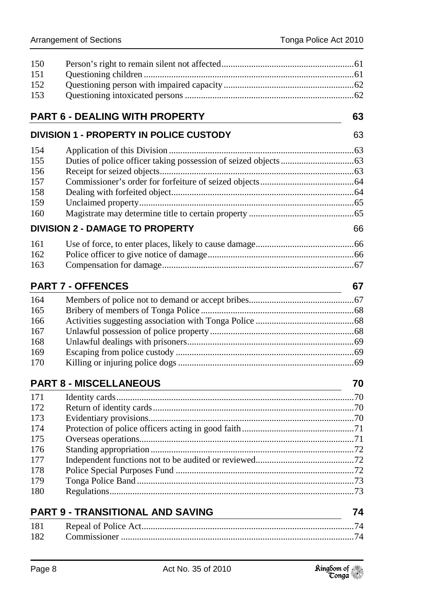| 150 |                                                |    |
|-----|------------------------------------------------|----|
| 151 |                                                |    |
| 152 |                                                |    |
| 153 |                                                |    |
|     | <b>PART 6 - DEALING WITH PROPERTY</b>          | 63 |
|     | <b>DIVISION 1 - PROPERTY IN POLICE CUSTODY</b> | 63 |
| 154 |                                                |    |
| 155 |                                                |    |
| 156 |                                                |    |
| 157 |                                                |    |
| 158 |                                                |    |
| 159 |                                                |    |
| 160 |                                                |    |
|     | <b>DIVISION 2 - DAMAGE TO PROPERTY</b>         | 66 |
| 161 |                                                |    |
| 162 |                                                |    |
| 163 |                                                |    |
|     | <b>PART 7 - OFFENCES</b>                       | 67 |
| 164 |                                                |    |
| 165 |                                                |    |
| 166 |                                                |    |
| 167 |                                                |    |
| 168 |                                                |    |
| 169 |                                                |    |
| 170 |                                                |    |
|     | <b>PART 8 - MISCELLANEOUS</b>                  | 70 |
| 171 |                                                |    |
| 172 |                                                |    |
| 173 |                                                |    |
| 174 |                                                |    |
| 175 |                                                |    |
| 176 |                                                |    |
| 177 |                                                |    |
| 178 |                                                |    |
| 179 |                                                |    |
| 180 |                                                |    |
|     |                                                |    |

|     | <b>PART 9 - TRANSITIONAL AND SAVING</b> | 74 |
|-----|-----------------------------------------|----|
|     |                                         |    |
| 182 |                                         |    |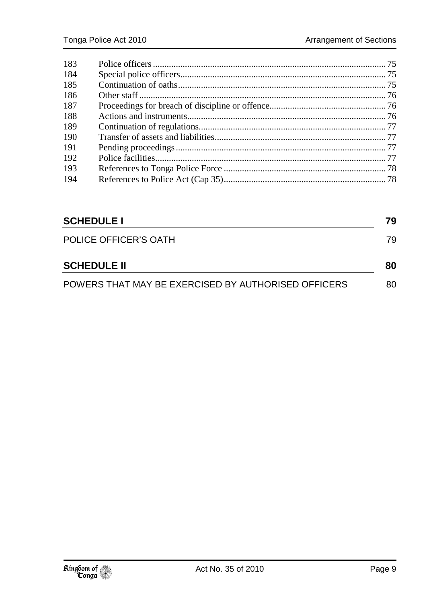| 183 |  |
|-----|--|
| 184 |  |
| 185 |  |
| 186 |  |
| 187 |  |
| 188 |  |
| 189 |  |
| 190 |  |
| 191 |  |
| 192 |  |
| 193 |  |
| 194 |  |
|     |  |

| <b>SCHEDULE I</b>                                   | 79  |
|-----------------------------------------------------|-----|
| POLICE OFFICER'S OATH                               | 79. |
| <b>SCHEDULE II</b>                                  | 80  |
| POWERS THAT MAY BE EXERCISED BY AUTHORISED OFFICERS | 80  |

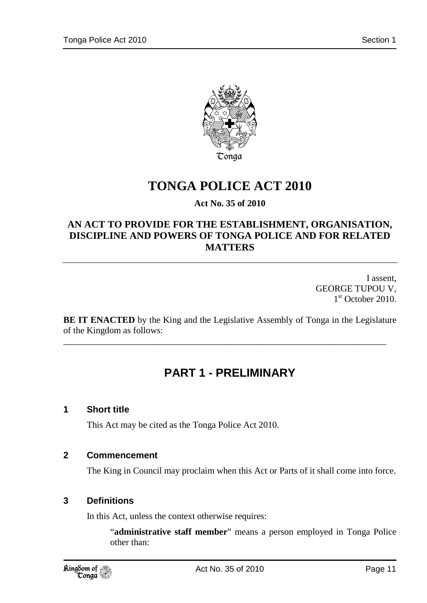

## **TONGA POLICE ACT 2010**

### **Act No. 35 of 2010**

### **AN ACT TO PROVIDE FOR THE ESTABLISHMENT, ORGANISATION, DISCIPLINE AND POWERS OF TONGA POLICE AND FOR RELATED MATTERS**

I assent, GEORGE TUPOU V, 1<sup>st</sup> October 2010.

**BE IT ENACTED** by the King and the Legislative Assembly of Tonga in the Legislature of the Kingdom as follows:

\_\_\_\_\_\_\_\_\_\_\_\_\_\_\_\_\_\_\_\_\_\_\_\_\_\_\_\_\_\_\_\_\_\_\_\_\_\_\_\_\_\_\_\_\_\_\_\_\_\_\_\_\_\_\_\_\_\_\_\_\_\_\_\_\_\_\_\_\_\_\_

## **PART 1 - PRELIMINARY**

### **1 Short title**

This Act may be cited as the Tonga Police Act 2010.

### **2 Commencement**

The King in Council may proclaim when this Act or Parts of it shall come into force.

### **3 Definitions**

In this Act, unless the context otherwise requires:

"**administrative staff member**" means a person employed in Tonga Police other than: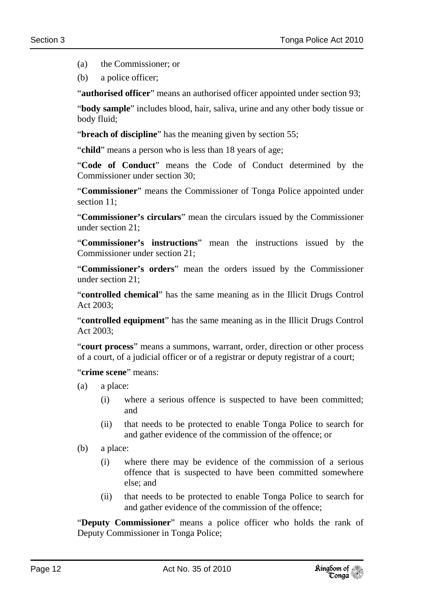(a) the Commissioner; or

(b) a police officer;

"**authorised officer**" means an authorised officer appointed under section 93;

"**body sample**" includes blood, hair, saliva, urine and any other body tissue or body fluid;

"**breach of discipline**" has the meaning given by section 55;

"**child**" means a person who is less than 18 years of age;

"**Code of Conduct**" means the Code of Conduct determined by the Commissioner under section 30;

"**Commissioner**" means the Commissioner of Tonga Police appointed under section 11;

"**Commissioner's circulars**" mean the circulars issued by the Commissioner under section 21;

"**Commissioner's instructions**" mean the instructions issued by the Commissioner under section 21;

"**Commissioner's orders**" mean the orders issued by the Commissioner under section 21;

"**controlled chemical**" has the same meaning as in the Illicit Drugs Control Act 2003;

"**controlled equipment**" has the same meaning as in the Illicit Drugs Control Act 2003;

"**court process**" means a summons, warrant, order, direction or other process of a court, of a judicial officer or of a registrar or deputy registrar of a court;

"**crime scene**" means:

- (a) a place:
	- (i) where a serious offence is suspected to have been committed; and
	- (ii) that needs to be protected to enable Tonga Police to search for and gather evidence of the commission of the offence; or
- (b) a place:
	- (i) where there may be evidence of the commission of a serious offence that is suspected to have been committed somewhere else; and
	- (ii) that needs to be protected to enable Tonga Police to search for and gather evidence of the commission of the offence;

"**Deputy Commissioner**" means a police officer who holds the rank of Deputy Commissioner in Tonga Police;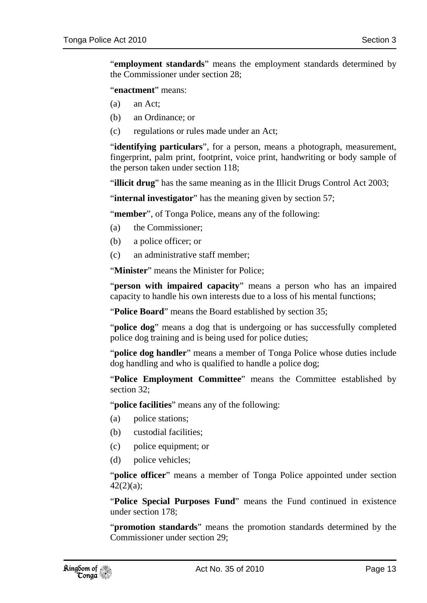"**employment standards**" means the employment standards determined by the Commissioner under section 28;

"**enactment**" means:

- (a) an Act;
- (b) an Ordinance; or
- (c) regulations or rules made under an Act;

"**identifying particulars**", for a person, means a photograph, measurement, fingerprint, palm print, footprint, voice print, handwriting or body sample of the person taken under section 118;

"**illicit drug**" has the same meaning as in the Illicit Drugs Control Act 2003;

"**internal investigator**" has the meaning given by section 57;

"**member**", of Tonga Police, means any of the following:

- (a) the Commissioner;
- (b) a police officer; or
- (c) an administrative staff member;

"**Minister**" means the Minister for Police;

"**person with impaired capacity**" means a person who has an impaired capacity to handle his own interests due to a loss of his mental functions;

"**Police Board**" means the Board established by section 35;

"**police dog**" means a dog that is undergoing or has successfully completed police dog training and is being used for police duties;

"**police dog handler**" means a member of Tonga Police whose duties include dog handling and who is qualified to handle a police dog;

"Police Employment Committee" means the Committee established by section 32;

"**police facilities**" means any of the following:

- (a) police stations;
- (b) custodial facilities;
- (c) police equipment; or
- (d) police vehicles;

"**police officer**" means a member of Tonga Police appointed under section 42(2)(a);

"**Police Special Purposes Fund**" means the Fund continued in existence under section 178;

"**promotion standards**" means the promotion standards determined by the Commissioner under section 29;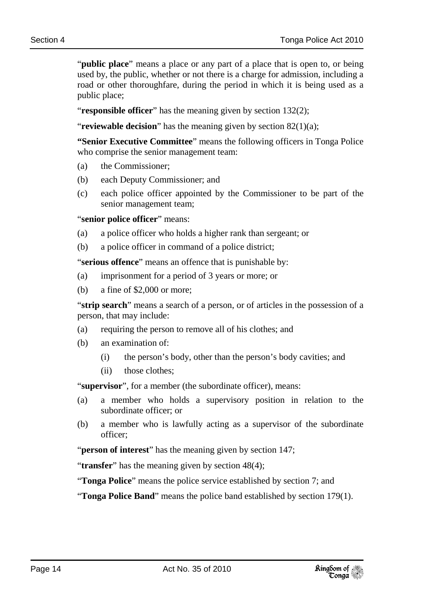"**public place**" means a place or any part of a place that is open to, or being used by, the public, whether or not there is a charge for admission, including a road or other thoroughfare, during the period in which it is being used as a public place;

"**responsible officer**" has the meaning given by section 132(2);

**Treviewable decision**" has the meaning given by section 82(1)(a);

**"Senior Executive Committee**" means the following officers in Tonga Police who comprise the senior management team:

- (a) the Commissioner;
- (b) each Deputy Commissioner; and
- (c) each police officer appointed by the Commissioner to be part of the senior management team;

"**senior police officer**" means:

- (a) a police officer who holds a higher rank than sergeant; or
- (b) a police officer in command of a police district;

"**serious offence**" means an offence that is punishable by:

- (a) imprisonment for a period of 3 years or more; or
- (b) a fine of \$2,000 or more;

"**strip search**" means a search of a person, or of articles in the possession of a person, that may include:

- (a) requiring the person to remove all of his clothes; and
- (b) an examination of:
	- (i) the person's body, other than the person's body cavities; and
	- (ii) those clothes;

"**supervisor**", for a member (the subordinate officer), means:

- (a) a member who holds a supervisory position in relation to the subordinate officer; or
- (b) a member who is lawfully acting as a supervisor of the subordinate officer;

"**person of interest**" has the meaning given by section 147;

"**transfer**" has the meaning given by section 48(4);

"**Tonga Police**" means the police service established by section 7; and

"**Tonga Police Band**" means the police band established by section 179(1).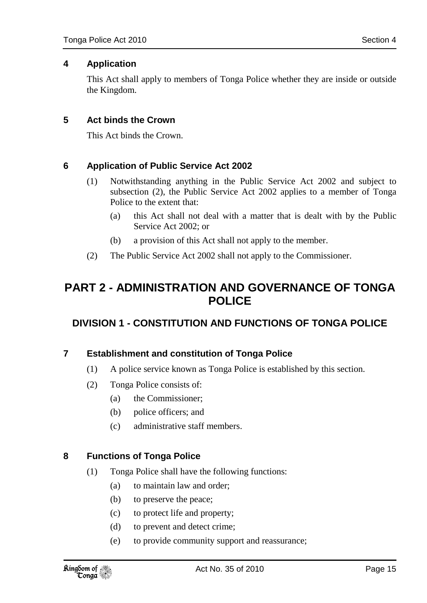### **4 Application**

This Act shall apply to members of Tonga Police whether they are inside or outside the Kingdom.

### **5 Act binds the Crown**

This Act binds the Crown.

### **6 Application of Public Service Act 2002**

- (1) Notwithstanding anything in the Public Service Act 2002 and subject to subsection (2), the Public Service Act 2002 applies to a member of Tonga Police to the extent that:
	- (a) this Act shall not deal with a matter that is dealt with by the Public Service Act 2002; or
	- (b) a provision of this Act shall not apply to the member.
- (2) The Public Service Act 2002 shall not apply to the Commissioner.

## **PART 2 - ADMINISTRATION AND GOVERNANCE OF TONGA POLICE**

### **DIVISION 1 - CONSTITUTION AND FUNCTIONS OF TONGA POLICE**

### **7 Establishment and constitution of Tonga Police**

- (1) A police service known as Tonga Police is established by this section.
- (2) Tonga Police consists of:
	- (a) the Commissioner;
	- (b) police officers; and
	- (c) administrative staff members.

### **8 Functions of Tonga Police**

- (1) Tonga Police shall have the following functions:
	- (a) to maintain law and order;
	- (b) to preserve the peace;
	- (c) to protect life and property;
	- (d) to prevent and detect crime;
	- (e) to provide community support and reassurance;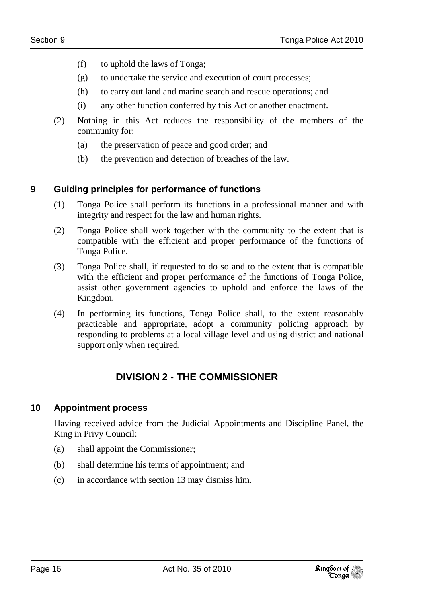- (f) to uphold the laws of Tonga;
- (g) to undertake the service and execution of court processes;
- (h) to carry out land and marine search and rescue operations; and
- (i) any other function conferred by this Act or another enactment.
- (2) Nothing in this Act reduces the responsibility of the members of the community for:
	- (a) the preservation of peace and good order; and
	- (b) the prevention and detection of breaches of the law.

### **9 Guiding principles for performance of functions**

- (1) Tonga Police shall perform its functions in a professional manner and with integrity and respect for the law and human rights.
- (2) Tonga Police shall work together with the community to the extent that is compatible with the efficient and proper performance of the functions of Tonga Police.
- (3) Tonga Police shall, if requested to do so and to the extent that is compatible with the efficient and proper performance of the functions of Tonga Police, assist other government agencies to uphold and enforce the laws of the Kingdom.
- (4) In performing its functions, Tonga Police shall, to the extent reasonably practicable and appropriate, adopt a community policing approach by responding to problems at a local village level and using district and national support only when required.

### **DIVISION 2 - THE COMMISSIONER**

### **10 Appointment process**

Having received advice from the Judicial Appointments and Discipline Panel, the King in Privy Council:

- (a) shall appoint the Commissioner;
- (b) shall determine his terms of appointment; and
- (c) in accordance with section 13 may dismiss him.

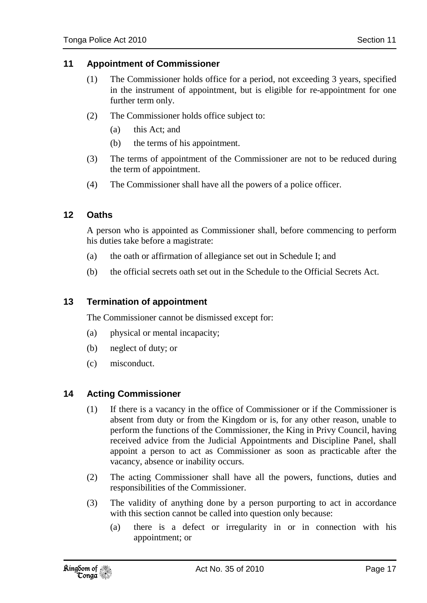### **11 Appointment of Commissioner**

- (1) The Commissioner holds office for a period, not exceeding 3 years, specified in the instrument of appointment, but is eligible for re-appointment for one further term only.
- (2) The Commissioner holds office subject to:
	- (a) this Act; and
	- (b) the terms of his appointment.
- (3) The terms of appointment of the Commissioner are not to be reduced during the term of appointment.
- (4) The Commissioner shall have all the powers of a police officer.

### **12 Oaths**

A person who is appointed as Commissioner shall, before commencing to perform his duties take before a magistrate:

- (a) the oath or affirmation of allegiance set out in Schedule I; and
- (b) the official secrets oath set out in the Schedule to the Official Secrets Act.

### **13 Termination of appointment**

The Commissioner cannot be dismissed except for:

- (a) physical or mental incapacity;
- (b) neglect of duty; or
- (c) misconduct.

### **14 Acting Commissioner**

- (1) If there is a vacancy in the office of Commissioner or if the Commissioner is absent from duty or from the Kingdom or is, for any other reason, unable to perform the functions of the Commissioner, the King in Privy Council, having received advice from the Judicial Appointments and Discipline Panel, shall appoint a person to act as Commissioner as soon as practicable after the vacancy, absence or inability occurs.
- (2) The acting Commissioner shall have all the powers, functions, duties and responsibilities of the Commissioner.
- (3) The validity of anything done by a person purporting to act in accordance with this section cannot be called into question only because:
	- (a) there is a defect or irregularity in or in connection with his appointment; or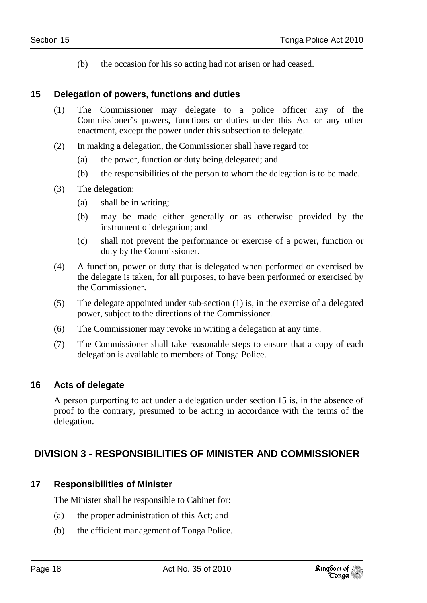(b) the occasion for his so acting had not arisen or had ceased.

### **15 Delegation of powers, functions and duties**

- (1) The Commissioner may delegate to a police officer any of the Commissioner's powers, functions or duties under this Act or any other enactment, except the power under this subsection to delegate.
- (2) In making a delegation, the Commissioner shall have regard to:
	- (a) the power, function or duty being delegated; and
	- (b) the responsibilities of the person to whom the delegation is to be made.
- (3) The delegation:
	- (a) shall be in writing;
	- (b) may be made either generally or as otherwise provided by the instrument of delegation; and
	- (c) shall not prevent the performance or exercise of a power, function or duty by the Commissioner.
- (4) A function, power or duty that is delegated when performed or exercised by the delegate is taken, for all purposes, to have been performed or exercised by the Commissioner.
- (5) The delegate appointed under sub-section (1) is, in the exercise of a delegated power, subject to the directions of the Commissioner.
- (6) The Commissioner may revoke in writing a delegation at any time.
- (7) The Commissioner shall take reasonable steps to ensure that a copy of each delegation is available to members of Tonga Police.

### **16 Acts of delegate**

A person purporting to act under a delegation under section 15 is, in the absence of proof to the contrary, presumed to be acting in accordance with the terms of the delegation.

### **DIVISION 3 - RESPONSIBILITIES OF MINISTER AND COMMISSIONER**

### **17 Responsibilities of Minister**

The Minister shall be responsible to Cabinet for:

- (a) the proper administration of this Act; and
- (b) the efficient management of Tonga Police.

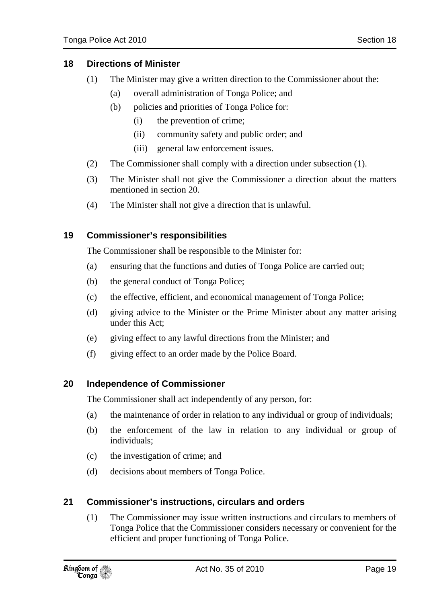- (a) overall administration of Tonga Police; and
- (b) policies and priorities of Tonga Police for:
	- (i) the prevention of crime;
	- (ii) community safety and public order; and
	- (iii) general law enforcement issues.
- (2) The Commissioner shall comply with a direction under subsection (1).
- (3) The Minister shall not give the Commissioner a direction about the matters mentioned in section 20.
- (4) The Minister shall not give a direction that is unlawful.

### **19 Commissioner's responsibilities**

The Commissioner shall be responsible to the Minister for:

- (a) ensuring that the functions and duties of Tonga Police are carried out;
- (b) the general conduct of Tonga Police;
- (c) the effective, efficient, and economical management of Tonga Police;
- (d) giving advice to the Minister or the Prime Minister about any matter arising under this Act;
- (e) giving effect to any lawful directions from the Minister; and
- (f) giving effect to an order made by the Police Board.

### **20 Independence of Commissioner**

The Commissioner shall act independently of any person, for:

- (a) the maintenance of order in relation to any individual or group of individuals;
- (b) the enforcement of the law in relation to any individual or group of individuals;
- (c) the investigation of crime; and
- (d) decisions about members of Tonga Police.

### **21 Commissioner's instructions, circulars and orders**

(1) The Commissioner may issue written instructions and circulars to members of Tonga Police that the Commissioner considers necessary or convenient for the efficient and proper functioning of Tonga Police.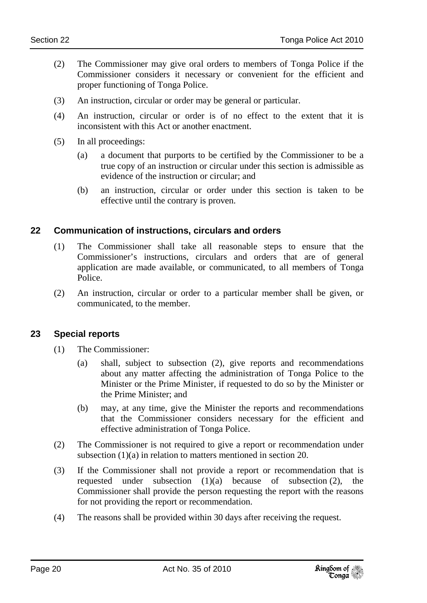- (2) The Commissioner may give oral orders to members of Tonga Police if the Commissioner considers it necessary or convenient for the efficient and proper functioning of Tonga Police.
- (3) An instruction, circular or order may be general or particular.
- (4) An instruction, circular or order is of no effect to the extent that it is inconsistent with this Act or another enactment.
- (5) In all proceedings:
	- (a) a document that purports to be certified by the Commissioner to be a true copy of an instruction or circular under this section is admissible as evidence of the instruction or circular; and
	- (b) an instruction, circular or order under this section is taken to be effective until the contrary is proven.

### **22 Communication of instructions, circulars and orders**

- (1) The Commissioner shall take all reasonable steps to ensure that the Commissioner's instructions, circulars and orders that are of general application are made available, or communicated, to all members of Tonga Police.
- (2) An instruction, circular or order to a particular member shall be given, or communicated, to the member.

### **23 Special reports**

- (1) The Commissioner:
	- (a) shall, subject to subsection (2), give reports and recommendations about any matter affecting the administration of Tonga Police to the Minister or the Prime Minister, if requested to do so by the Minister or the Prime Minister; and
	- (b) may, at any time, give the Minister the reports and recommendations that the Commissioner considers necessary for the efficient and effective administration of Tonga Police.
- (2) The Commissioner is not required to give a report or recommendation under subsection (1)(a) in relation to matters mentioned in section 20.
- (3) If the Commissioner shall not provide a report or recommendation that is requested under subsection  $(1)(a)$  because of subsection  $(2)$ , the Commissioner shall provide the person requesting the report with the reasons for not providing the report or recommendation.
- (4) The reasons shall be provided within 30 days after receiving the request.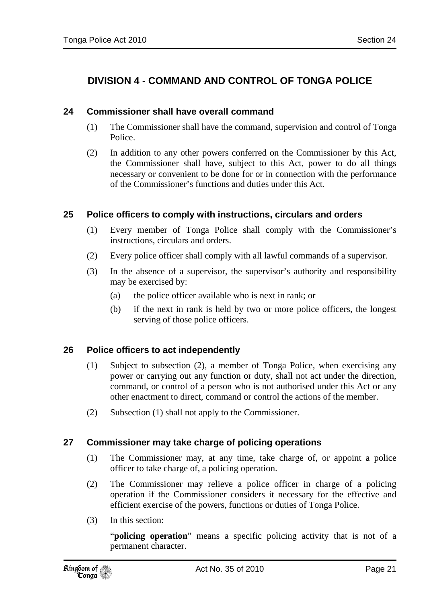### **DIVISION 4 - COMMAND AND CONTROL OF TONGA POLICE**

#### **24 Commissioner shall have overall command**

- (1) The Commissioner shall have the command, supervision and control of Tonga Police.
- (2) In addition to any other powers conferred on the Commissioner by this Act, the Commissioner shall have, subject to this Act, power to do all things necessary or convenient to be done for or in connection with the performance of the Commissioner's functions and duties under this Act.

#### **25 Police officers to comply with instructions, circulars and orders**

- (1) Every member of Tonga Police shall comply with the Commissioner's instructions, circulars and orders.
- (2) Every police officer shall comply with all lawful commands of a supervisor.
- (3) In the absence of a supervisor, the supervisor's authority and responsibility may be exercised by:
	- (a) the police officer available who is next in rank; or
	- (b) if the next in rank is held by two or more police officers, the longest serving of those police officers.

### **26 Police officers to act independently**

- (1) Subject to subsection (2), a member of Tonga Police, when exercising any power or carrying out any function or duty, shall not act under the direction, command, or control of a person who is not authorised under this Act or any other enactment to direct, command or control the actions of the member.
- (2) Subsection (1) shall not apply to the Commissioner.

### **27 Commissioner may take charge of policing operations**

- (1) The Commissioner may, at any time, take charge of, or appoint a police officer to take charge of, a policing operation.
- (2) The Commissioner may relieve a police officer in charge of a policing operation if the Commissioner considers it necessary for the effective and efficient exercise of the powers, functions or duties of Tonga Police.
- (3) In this section:

"**policing operation**" means a specific policing activity that is not of a permanent character.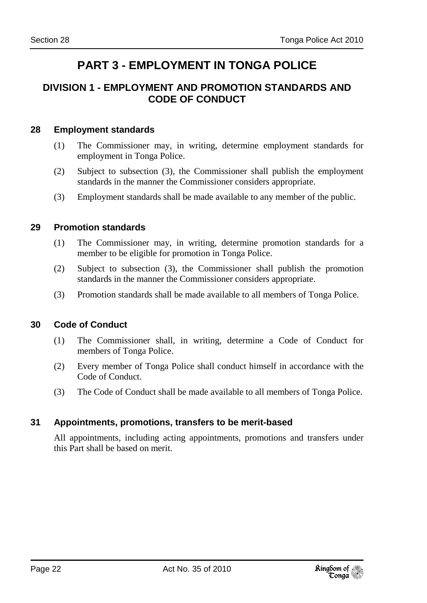## **PART 3 - EMPLOYMENT IN TONGA POLICE**

### **DIVISION 1 - EMPLOYMENT AND PROMOTION STANDARDS AND CODE OF CONDUCT**

### **28 Employment standards**

- (1) The Commissioner may, in writing, determine employment standards for employment in Tonga Police.
- (2) Subject to subsection (3), the Commissioner shall publish the employment standards in the manner the Commissioner considers appropriate.
- (3) Employment standards shall be made available to any member of the public.

### **29 Promotion standards**

- (1) The Commissioner may, in writing, determine promotion standards for a member to be eligible for promotion in Tonga Police.
- (2) Subject to subsection (3), the Commissioner shall publish the promotion standards in the manner the Commissioner considers appropriate.
- (3) Promotion standards shall be made available to all members of Tonga Police.

### **30 Code of Conduct**

- (1) The Commissioner shall, in writing, determine a Code of Conduct for members of Tonga Police.
- (2) Every member of Tonga Police shall conduct himself in accordance with the Code of Conduct.
- (3) The Code of Conduct shall be made available to all members of Tonga Police.

### **31 Appointments, promotions, transfers to be merit-based**

All appointments, including acting appointments, promotions and transfers under this Part shall be based on merit.

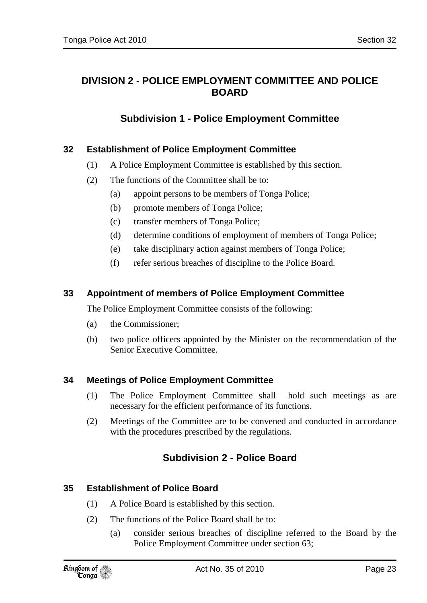### **DIVISION 2 - POLICE EMPLOYMENT COMMITTEE AND POLICE BOARD**

### **Subdivision 1 - Police Employment Committee**

### **32 Establishment of Police Employment Committee**

- (1) A Police Employment Committee is established by this section.
- (2) The functions of the Committee shall be to:
	- (a) appoint persons to be members of Tonga Police;
	- (b) promote members of Tonga Police;
	- (c) transfer members of Tonga Police;
	- (d) determine conditions of employment of members of Tonga Police;
	- (e) take disciplinary action against members of Tonga Police;
	- (f) refer serious breaches of discipline to the Police Board.

### **33 Appointment of members of Police Employment Committee**

The Police Employment Committee consists of the following:

- (a) the Commissioner;
- (b) two police officers appointed by the Minister on the recommendation of the Senior Executive Committee.

### **34 Meetings of Police Employment Committee**

- (1) The Police Employment Committee shall hold such meetings as are necessary for the efficient performance of its functions.
- (2) Meetings of the Committee are to be convened and conducted in accordance with the procedures prescribed by the regulations.

### **Subdivision 2 - Police Board**

### **35 Establishment of Police Board**

- (1) A Police Board is established by this section.
- (2) The functions of the Police Board shall be to:
	- (a) consider serious breaches of discipline referred to the Board by the Police Employment Committee under section 63;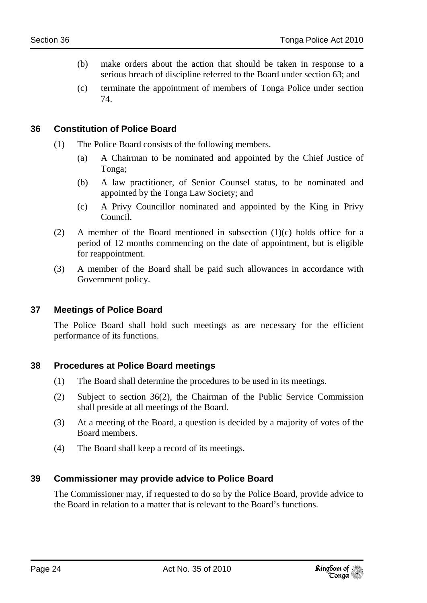- (b) make orders about the action that should be taken in response to a serious breach of discipline referred to the Board under section 63; and
- (c) terminate the appointment of members of Tonga Police under section 74.

### **36 Constitution of Police Board**

- (1) The Police Board consists of the following members.
	- (a) A Chairman to be nominated and appointed by the Chief Justice of Tonga;
	- (b) A law practitioner, of Senior Counsel status, to be nominated and appointed by the Tonga Law Society; and
	- (c) A Privy Councillor nominated and appointed by the King in Privy Council.
- (2) A member of the Board mentioned in subsection  $(1)(c)$  holds office for a period of 12 months commencing on the date of appointment, but is eligible for reappointment.
- (3) A member of the Board shall be paid such allowances in accordance with Government policy.

### **37 Meetings of Police Board**

The Police Board shall hold such meetings as are necessary for the efficient performance of its functions.

### **38 Procedures at Police Board meetings**

- (1) The Board shall determine the procedures to be used in its meetings.
- (2) Subject to section 36(2), the Chairman of the Public Service Commission shall preside at all meetings of the Board.
- (3) At a meeting of the Board, a question is decided by a majority of votes of the Board members.
- (4) The Board shall keep a record of its meetings.

### **39 Commissioner may provide advice to Police Board**

The Commissioner may, if requested to do so by the Police Board, provide advice to the Board in relation to a matter that is relevant to the Board's functions.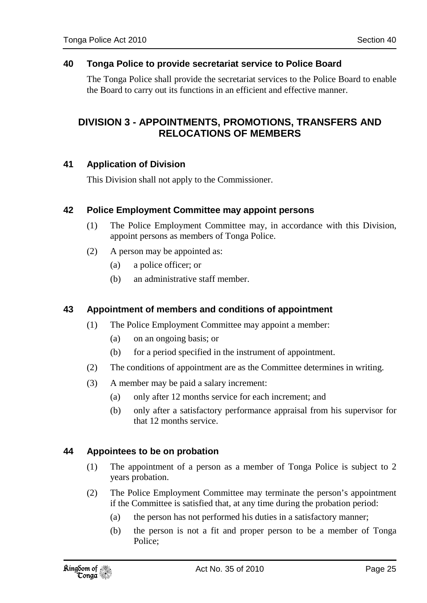### **40 Tonga Police to provide secretariat service to Police Board**

The Tonga Police shall provide the secretariat services to the Police Board to enable the Board to carry out its functions in an efficient and effective manner.

### **DIVISION 3 - APPOINTMENTS, PROMOTIONS, TRANSFERS AND RELOCATIONS OF MEMBERS**

### **41 Application of Division**

This Division shall not apply to the Commissioner.

### **42 Police Employment Committee may appoint persons**

- (1) The Police Employment Committee may, in accordance with this Division, appoint persons as members of Tonga Police.
- (2) A person may be appointed as:
	- (a) a police officer; or
	- (b) an administrative staff member.

### **43 Appointment of members and conditions of appointment**

- (1) The Police Employment Committee may appoint a member:
	- (a) on an ongoing basis; or
	- (b) for a period specified in the instrument of appointment.
- (2) The conditions of appointment are as the Committee determines in writing.
- (3) A member may be paid a salary increment:
	- (a) only after 12 months service for each increment; and
	- (b) only after a satisfactory performance appraisal from his supervisor for that 12 months service.

### **44 Appointees to be on probation**

- (1) The appointment of a person as a member of Tonga Police is subject to 2 years probation.
- (2) The Police Employment Committee may terminate the person's appointment if the Committee is satisfied that, at any time during the probation period:
	- (a) the person has not performed his duties in a satisfactory manner;
	- (b) the person is not a fit and proper person to be a member of Tonga Police;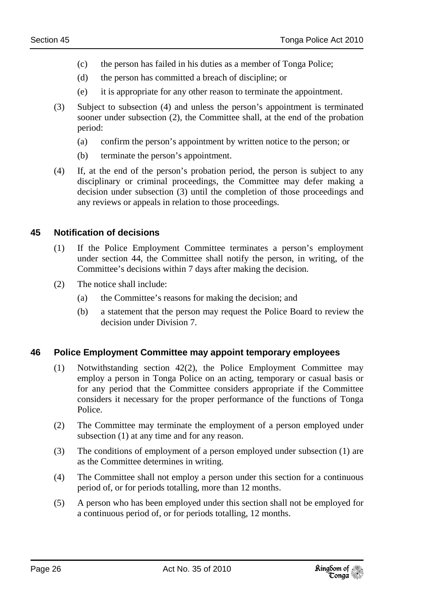- (c) the person has failed in his duties as a member of Tonga Police;
- (d) the person has committed a breach of discipline; or
- (e) it is appropriate for any other reason to terminate the appointment.
- (3) Subject to subsection (4) and unless the person's appointment is terminated sooner under subsection (2), the Committee shall, at the end of the probation period:
	- (a) confirm the person's appointment by written notice to the person; or
	- (b) terminate the person's appointment.
- (4) If, at the end of the person's probation period, the person is subject to any disciplinary or criminal proceedings, the Committee may defer making a decision under subsection (3) until the completion of those proceedings and any reviews or appeals in relation to those proceedings.

### **45 Notification of decisions**

- (1) If the Police Employment Committee terminates a person's employment under section 44, the Committee shall notify the person, in writing, of the Committee's decisions within 7 days after making the decision.
- (2) The notice shall include:
	- (a) the Committee's reasons for making the decision; and
	- (b) a statement that the person may request the Police Board to review the decision under Division 7.

### **46 Police Employment Committee may appoint temporary employees**

- (1) Notwithstanding section 42(2), the Police Employment Committee may employ a person in Tonga Police on an acting, temporary or casual basis or for any period that the Committee considers appropriate if the Committee considers it necessary for the proper performance of the functions of Tonga Police.
- (2) The Committee may terminate the employment of a person employed under subsection (1) at any time and for any reason.
- (3) The conditions of employment of a person employed under subsection (1) are as the Committee determines in writing.
- (4) The Committee shall not employ a person under this section for a continuous period of, or for periods totalling, more than 12 months.
- (5) A person who has been employed under this section shall not be employed for a continuous period of, or for periods totalling, 12 months.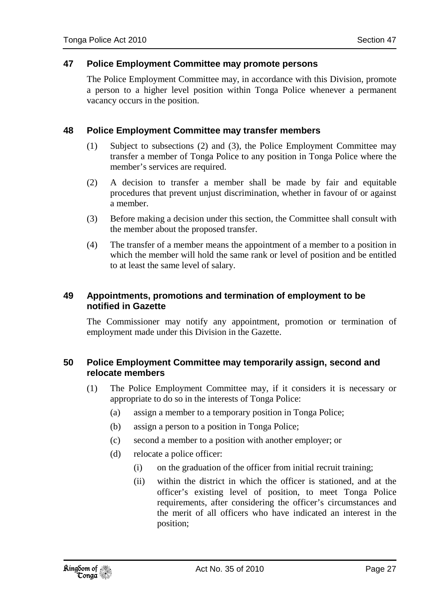### **47 Police Employment Committee may promote persons**

The Police Employment Committee may, in accordance with this Division, promote a person to a higher level position within Tonga Police whenever a permanent vacancy occurs in the position.

### **48 Police Employment Committee may transfer members**

- (1) Subject to subsections (2) and (3), the Police Employment Committee may transfer a member of Tonga Police to any position in Tonga Police where the member's services are required.
- (2) A decision to transfer a member shall be made by fair and equitable procedures that prevent unjust discrimination, whether in favour of or against a member.
- (3) Before making a decision under this section, the Committee shall consult with the member about the proposed transfer.
- (4) The transfer of a member means the appointment of a member to a position in which the member will hold the same rank or level of position and be entitled to at least the same level of salary.

### **49 Appointments, promotions and termination of employment to be notified in Gazette**

The Commissioner may notify any appointment, promotion or termination of employment made under this Division in the Gazette.

### **50 Police Employment Committee may temporarily assign, second and relocate members**

- (1) The Police Employment Committee may, if it considers it is necessary or appropriate to do so in the interests of Tonga Police:
	- (a) assign a member to a temporary position in Tonga Police;
	- (b) assign a person to a position in Tonga Police;
	- (c) second a member to a position with another employer; or
	- (d) relocate a police officer:
		- (i) on the graduation of the officer from initial recruit training;
		- (ii) within the district in which the officer is stationed, and at the officer's existing level of position, to meet Tonga Police requirements, after considering the officer's circumstances and the merit of all officers who have indicated an interest in the position;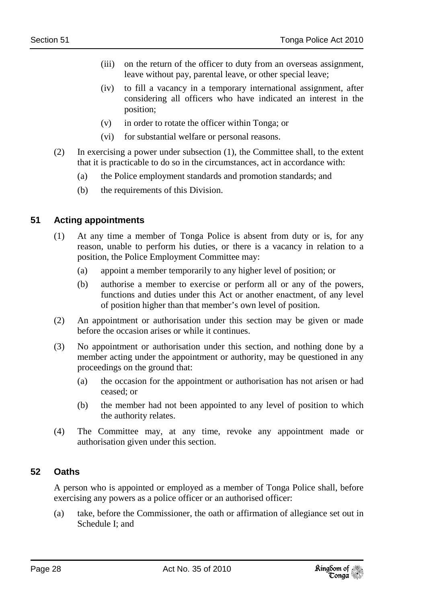- (iii) on the return of the officer to duty from an overseas assignment, leave without pay, parental leave, or other special leave;
- (iv) to fill a vacancy in a temporary international assignment, after considering all officers who have indicated an interest in the position;
- (v) in order to rotate the officer within Tonga; or
- (vi) for substantial welfare or personal reasons.
- (2) In exercising a power under subsection (1), the Committee shall, to the extent that it is practicable to do so in the circumstances, act in accordance with:
	- (a) the Police employment standards and promotion standards; and
	- (b) the requirements of this Division.

### **51 Acting appointments**

- (1) At any time a member of Tonga Police is absent from duty or is, for any reason, unable to perform his duties, or there is a vacancy in relation to a position, the Police Employment Committee may:
	- (a) appoint a member temporarily to any higher level of position; or
	- (b) authorise a member to exercise or perform all or any of the powers, functions and duties under this Act or another enactment, of any level of position higher than that member's own level of position.
- (2) An appointment or authorisation under this section may be given or made before the occasion arises or while it continues.
- (3) No appointment or authorisation under this section, and nothing done by a member acting under the appointment or authority, may be questioned in any proceedings on the ground that:
	- (a) the occasion for the appointment or authorisation has not arisen or had ceased; or
	- (b) the member had not been appointed to any level of position to which the authority relates.
- (4) The Committee may, at any time, revoke any appointment made or authorisation given under this section.

### **52 Oaths**

A person who is appointed or employed as a member of Tonga Police shall, before exercising any powers as a police officer or an authorised officer:

(a) take, before the Commissioner, the oath or affirmation of allegiance set out in Schedule I; and

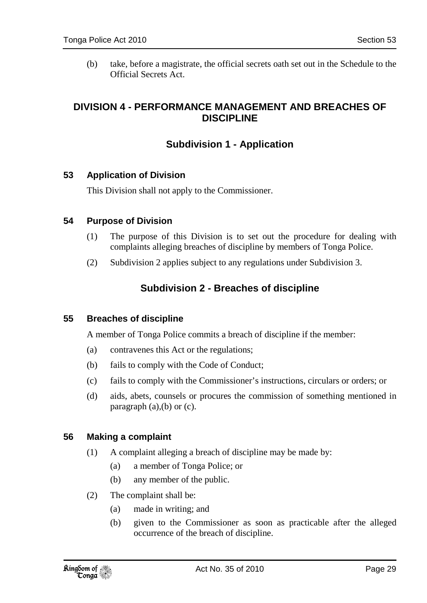(b) take, before a magistrate, the official secrets oath set out in the Schedule to the Official Secrets Act.

### **DIVISION 4 - PERFORMANCE MANAGEMENT AND BREACHES OF DISCIPLINE**

### **Subdivision 1 - Application**

### **53 Application of Division**

This Division shall not apply to the Commissioner.

### **54 Purpose of Division**

- (1) The purpose of this Division is to set out the procedure for dealing with complaints alleging breaches of discipline by members of Tonga Police.
- (2) Subdivision 2 applies subject to any regulations under Subdivision 3.

### **Subdivision 2 - Breaches of discipline**

### **55 Breaches of discipline**

A member of Tonga Police commits a breach of discipline if the member:

- (a) contravenes this Act or the regulations;
- (b) fails to comply with the Code of Conduct;
- (c) fails to comply with the Commissioner's instructions, circulars or orders; or
- (d) aids, abets, counsels or procures the commission of something mentioned in paragraph  $(a)$ , $(b)$  or  $(c)$ .

### **56 Making a complaint**

- (1) A complaint alleging a breach of discipline may be made by:
	- (a) a member of Tonga Police; or
	- (b) any member of the public.
- (2) The complaint shall be:
	- (a) made in writing; and
	- (b) given to the Commissioner as soon as practicable after the alleged occurrence of the breach of discipline.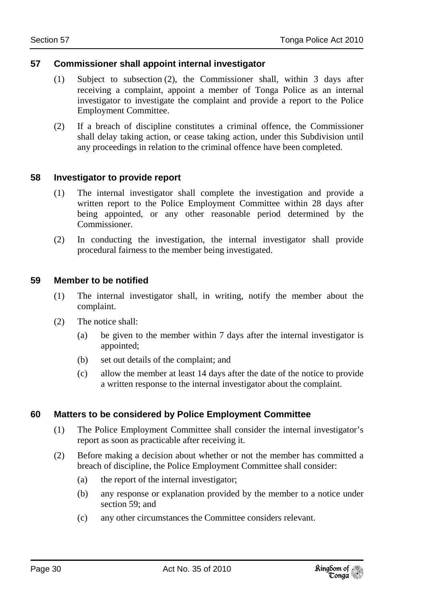### **57 Commissioner shall appoint internal investigator**

- (1) Subject to subsection (2), the Commissioner shall, within 3 days after receiving a complaint, appoint a member of Tonga Police as an internal investigator to investigate the complaint and provide a report to the Police Employment Committee.
- (2) If a breach of discipline constitutes a criminal offence, the Commissioner shall delay taking action, or cease taking action, under this Subdivision until any proceedings in relation to the criminal offence have been completed.

### **58 Investigator to provide report**

- (1) The internal investigator shall complete the investigation and provide a written report to the Police Employment Committee within 28 days after being appointed, or any other reasonable period determined by the Commissioner.
- (2) In conducting the investigation, the internal investigator shall provide procedural fairness to the member being investigated.

#### **59 Member to be notified**

- (1) The internal investigator shall, in writing, notify the member about the complaint.
- (2) The notice shall:
	- (a) be given to the member within 7 days after the internal investigator is appointed;
	- (b) set out details of the complaint; and
	- (c) allow the member at least 14 days after the date of the notice to provide a written response to the internal investigator about the complaint.

### **60 Matters to be considered by Police Employment Committee**

- (1) The Police Employment Committee shall consider the internal investigator's report as soon as practicable after receiving it.
- (2) Before making a decision about whether or not the member has committed a breach of discipline, the Police Employment Committee shall consider:
	- (a) the report of the internal investigator;
	- (b) any response or explanation provided by the member to a notice under section 59; and
	- (c) any other circumstances the Committee considers relevant.

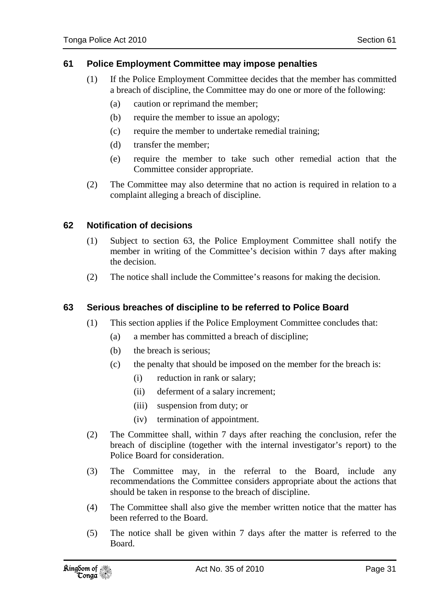### **61 Police Employment Committee may impose penalties**

- (1) If the Police Employment Committee decides that the member has committed a breach of discipline, the Committee may do one or more of the following:
	- (a) caution or reprimand the member;
	- (b) require the member to issue an apology;
	- (c) require the member to undertake remedial training;
	- (d) transfer the member;
	- (e) require the member to take such other remedial action that the Committee consider appropriate.
- (2) The Committee may also determine that no action is required in relation to a complaint alleging a breach of discipline.

### **62 Notification of decisions**

- (1) Subject to section 63, the Police Employment Committee shall notify the member in writing of the Committee's decision within 7 days after making the decision.
- (2) The notice shall include the Committee's reasons for making the decision.

### **63 Serious breaches of discipline to be referred to Police Board**

- (1) This section applies if the Police Employment Committee concludes that:
	- (a) a member has committed a breach of discipline;
	- (b) the breach is serious;
	- (c) the penalty that should be imposed on the member for the breach is:
		- (i) reduction in rank or salary;
		- (ii) deferment of a salary increment;
		- (iii) suspension from duty; or
		- (iv) termination of appointment.
- (2) The Committee shall, within 7 days after reaching the conclusion, refer the breach of discipline (together with the internal investigator's report) to the Police Board for consideration.
- (3) The Committee may, in the referral to the Board, include any recommendations the Committee considers appropriate about the actions that should be taken in response to the breach of discipline.
- (4) The Committee shall also give the member written notice that the matter has been referred to the Board.
- (5) The notice shall be given within 7 days after the matter is referred to the Board.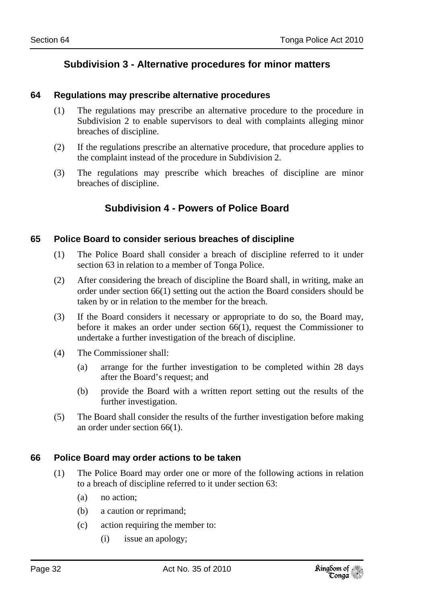### **Subdivision 3 - Alternative procedures for minor matters**

#### **64 Regulations may prescribe alternative procedures**

- (1) The regulations may prescribe an alternative procedure to the procedure in Subdivision 2 to enable supervisors to deal with complaints alleging minor breaches of discipline.
- (2) If the regulations prescribe an alternative procedure, that procedure applies to the complaint instead of the procedure in Subdivision 2.
- (3) The regulations may prescribe which breaches of discipline are minor breaches of discipline.

### **Subdivision 4 - Powers of Police Board**

#### **65 Police Board to consider serious breaches of discipline**

- (1) The Police Board shall consider a breach of discipline referred to it under section 63 in relation to a member of Tonga Police.
- (2) After considering the breach of discipline the Board shall, in writing, make an order under section 66(1) setting out the action the Board considers should be taken by or in relation to the member for the breach.
- (3) If the Board considers it necessary or appropriate to do so, the Board may, before it makes an order under section 66(1), request the Commissioner to undertake a further investigation of the breach of discipline.
- (4) The Commissioner shall:
	- (a) arrange for the further investigation to be completed within 28 days after the Board's request; and
	- (b) provide the Board with a written report setting out the results of the further investigation.
- (5) The Board shall consider the results of the further investigation before making an order under section 66(1).

### **66 Police Board may order actions to be taken**

- (1) The Police Board may order one or more of the following actions in relation to a breach of discipline referred to it under section 63:
	- (a) no action;
	- (b) a caution or reprimand;
	- (c) action requiring the member to:
		- (i) issue an apology;

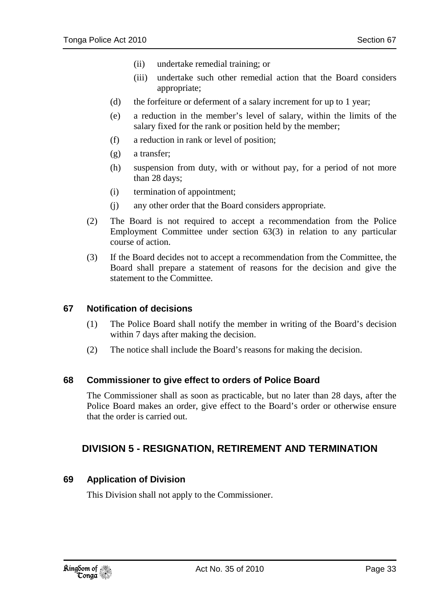- (ii) undertake remedial training; or
- (iii) undertake such other remedial action that the Board considers appropriate;
- (d) the forfeiture or deferment of a salary increment for up to 1 year;
- (e) a reduction in the member's level of salary, within the limits of the salary fixed for the rank or position held by the member;
- (f) a reduction in rank or level of position;
- (g) a transfer;
- (h) suspension from duty, with or without pay, for a period of not more than 28 days;
- (i) termination of appointment;
- (j) any other order that the Board considers appropriate.
- (2) The Board is not required to accept a recommendation from the Police Employment Committee under section 63(3) in relation to any particular course of action.
- (3) If the Board decides not to accept a recommendation from the Committee, the Board shall prepare a statement of reasons for the decision and give the statement to the Committee.

#### **67 Notification of decisions**

- (1) The Police Board shall notify the member in writing of the Board's decision within 7 days after making the decision.
- (2) The notice shall include the Board's reasons for making the decision.

#### **68 Commissioner to give effect to orders of Police Board**

The Commissioner shall as soon as practicable, but no later than 28 days, after the Police Board makes an order, give effect to the Board's order or otherwise ensure that the order is carried out.

### **DIVISION 5 - RESIGNATION, RETIREMENT AND TERMINATION**

### **69 Application of Division**

This Division shall not apply to the Commissioner.

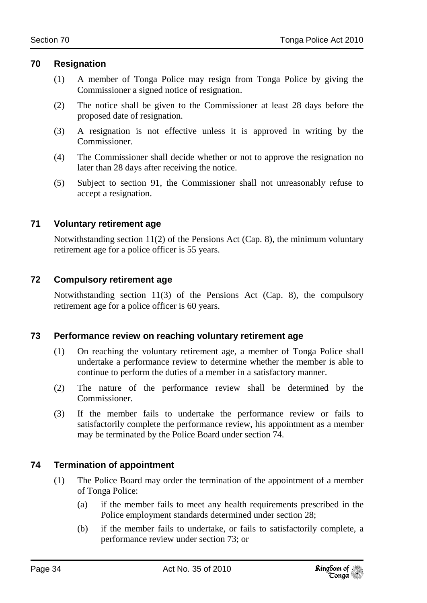### **70 Resignation**

- (1) A member of Tonga Police may resign from Tonga Police by giving the Commissioner a signed notice of resignation.
- (2) The notice shall be given to the Commissioner at least 28 days before the proposed date of resignation.
- (3) A resignation is not effective unless it is approved in writing by the Commissioner.
- (4) The Commissioner shall decide whether or not to approve the resignation no later than 28 days after receiving the notice.
- (5) Subject to section 91, the Commissioner shall not unreasonably refuse to accept a resignation.

### **71 Voluntary retirement age**

Notwithstanding section 11(2) of the Pensions Act (Cap. 8), the minimum voluntary retirement age for a police officer is 55 years.

### **72 Compulsory retirement age**

Notwithstanding section 11(3) of the Pensions Act (Cap. 8), the compulsory retirement age for a police officer is 60 years.

### **73 Performance review on reaching voluntary retirement age**

- (1) On reaching the voluntary retirement age, a member of Tonga Police shall undertake a performance review to determine whether the member is able to continue to perform the duties of a member in a satisfactory manner.
- (2) The nature of the performance review shall be determined by the Commissioner.
- (3) If the member fails to undertake the performance review or fails to satisfactorily complete the performance review, his appointment as a member may be terminated by the Police Board under section 74.

### **74 Termination of appointment**

- (1) The Police Board may order the termination of the appointment of a member of Tonga Police:
	- (a) if the member fails to meet any health requirements prescribed in the Police employment standards determined under section 28;
	- (b) if the member fails to undertake, or fails to satisfactorily complete, a performance review under section 73; or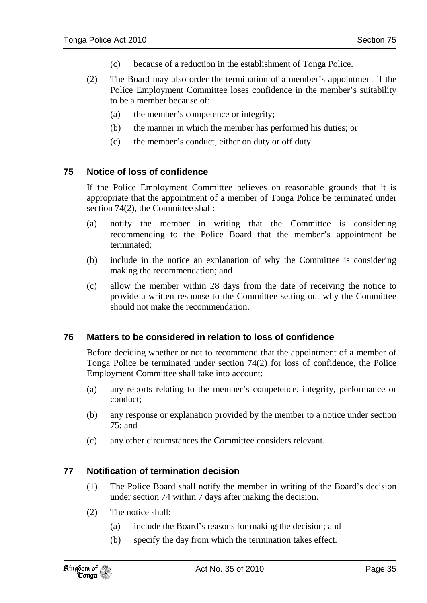- (c) because of a reduction in the establishment of Tonga Police.
- (2) The Board may also order the termination of a member's appointment if the Police Employment Committee loses confidence in the member's suitability to be a member because of:
	- (a) the member's competence or integrity;
	- (b) the manner in which the member has performed his duties; or
	- (c) the member's conduct, either on duty or off duty.

### **75 Notice of loss of confidence**

If the Police Employment Committee believes on reasonable grounds that it is appropriate that the appointment of a member of Tonga Police be terminated under section 74(2), the Committee shall:

- (a) notify the member in writing that the Committee is considering recommending to the Police Board that the member's appointment be terminated;
- (b) include in the notice an explanation of why the Committee is considering making the recommendation; and
- (c) allow the member within 28 days from the date of receiving the notice to provide a written response to the Committee setting out why the Committee should not make the recommendation.

### **76 Matters to be considered in relation to loss of confidence**

Before deciding whether or not to recommend that the appointment of a member of Tonga Police be terminated under section 74(2) for loss of confidence, the Police Employment Committee shall take into account:

- (a) any reports relating to the member's competence, integrity, performance or conduct;
- (b) any response or explanation provided by the member to a notice under section 75; and
- (c) any other circumstances the Committee considers relevant.

### **77 Notification of termination decision**

- (1) The Police Board shall notify the member in writing of the Board's decision under section 74 within 7 days after making the decision.
- (2) The notice shall:
	- (a) include the Board's reasons for making the decision; and
	- (b) specify the day from which the termination takes effect.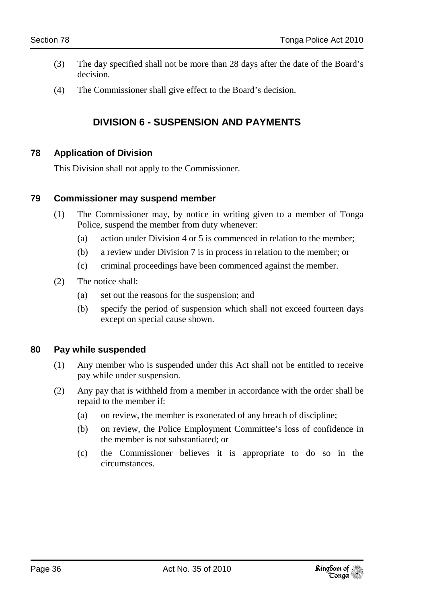- (3) The day specified shall not be more than 28 days after the date of the Board's decision.
- (4) The Commissioner shall give effect to the Board's decision.

### **DIVISION 6 - SUSPENSION AND PAYMENTS**

### **78 Application of Division**

This Division shall not apply to the Commissioner.

#### **79 Commissioner may suspend member**

- (1) The Commissioner may, by notice in writing given to a member of Tonga Police, suspend the member from duty whenever:
	- (a) action under Division 4 or 5 is commenced in relation to the member;
	- (b) a review under Division 7 is in process in relation to the member; or
	- (c) criminal proceedings have been commenced against the member.
- (2) The notice shall:
	- (a) set out the reasons for the suspension; and
	- (b) specify the period of suspension which shall not exceed fourteen days except on special cause shown.

### **80 Pay while suspended**

- (1) Any member who is suspended under this Act shall not be entitled to receive pay while under suspension.
- (2) Any pay that is withheld from a member in accordance with the order shall be repaid to the member if:
	- (a) on review, the member is exonerated of any breach of discipline;
	- (b) on review, the Police Employment Committee's loss of confidence in the member is not substantiated; or
	- (c) the Commissioner believes it is appropriate to do so in the circumstances.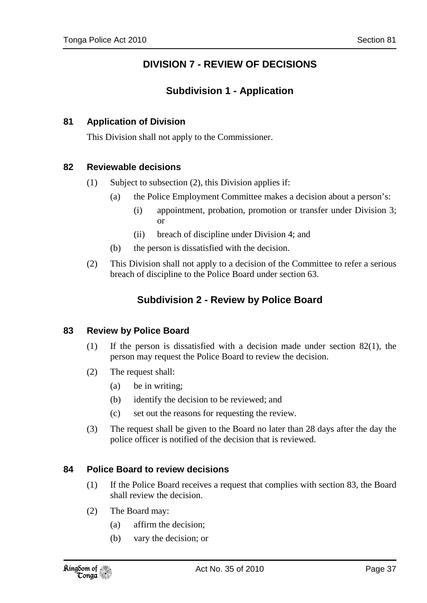# **DIVISION 7 - REVIEW OF DECISIONS**

# **Subdivision 1 - Application**

### **81 Application of Division**

This Division shall not apply to the Commissioner.

#### **82 Reviewable decisions**

- (1) Subject to subsection (2), this Division applies if:
	- (a) the Police Employment Committee makes a decision about a person's:
		- (i) appointment, probation, promotion or transfer under Division 3; or
		- (ii) breach of discipline under Division 4; and
	- (b) the person is dissatisfied with the decision.
- (2) This Division shall not apply to a decision of the Committee to refer a serious breach of discipline to the Police Board under section 63.

# **Subdivision 2 - Review by Police Board**

#### **83 Review by Police Board**

- (1) If the person is dissatisfied with a decision made under section 82(1), the person may request the Police Board to review the decision.
- (2) The request shall:
	- (a) be in writing;
	- (b) identify the decision to be reviewed; and
	- (c) set out the reasons for requesting the review.
- (3) The request shall be given to the Board no later than 28 days after the day the police officer is notified of the decision that is reviewed.

#### **84 Police Board to review decisions**

- (1) If the Police Board receives a request that complies with section 83, the Board shall review the decision.
- (2) The Board may:
	- (a) affirm the decision;
	- (b) vary the decision; or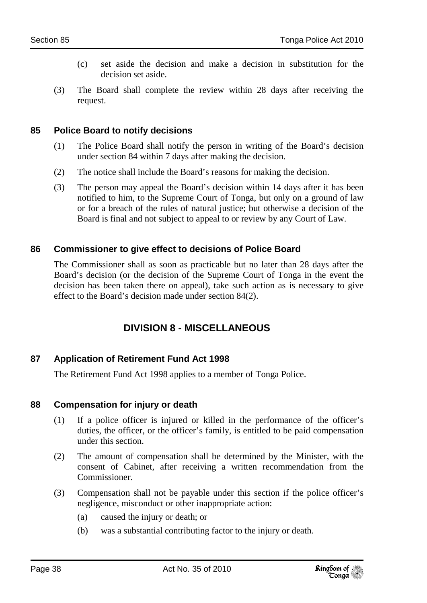- (c) set aside the decision and make a decision in substitution for the decision set aside.
- (3) The Board shall complete the review within 28 days after receiving the request.

### **85 Police Board to notify decisions**

- (1) The Police Board shall notify the person in writing of the Board's decision under section 84 within 7 days after making the decision.
- (2) The notice shall include the Board's reasons for making the decision.
- (3) The person may appeal the Board's decision within 14 days after it has been notified to him, to the Supreme Court of Tonga, but only on a ground of law or for a breach of the rules of natural justice; but otherwise a decision of the Board is final and not subject to appeal to or review by any Court of Law.

## **86 Commissioner to give effect to decisions of Police Board**

The Commissioner shall as soon as practicable but no later than 28 days after the Board's decision (or the decision of the Supreme Court of Tonga in the event the decision has been taken there on appeal), take such action as is necessary to give effect to the Board's decision made under section 84(2).

# **DIVISION 8 - MISCELLANEOUS**

## **87 Application of Retirement Fund Act 1998**

The Retirement Fund Act 1998 applies to a member of Tonga Police.

#### **88 Compensation for injury or death**

- (1) If a police officer is injured or killed in the performance of the officer's duties, the officer, or the officer's family, is entitled to be paid compensation under this section.
- (2) The amount of compensation shall be determined by the Minister, with the consent of Cabinet, after receiving a written recommendation from the Commissioner.
- (3) Compensation shall not be payable under this section if the police officer's negligence, misconduct or other inappropriate action:
	- (a) caused the injury or death; or
	- (b) was a substantial contributing factor to the injury or death.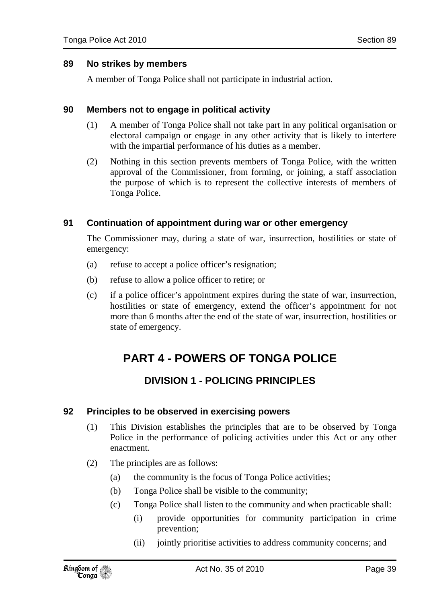#### **89 No strikes by members**

A member of Tonga Police shall not participate in industrial action.

#### **90 Members not to engage in political activity**

- (1) A member of Tonga Police shall not take part in any political organisation or electoral campaign or engage in any other activity that is likely to interfere with the impartial performance of his duties as a member.
- (2) Nothing in this section prevents members of Tonga Police, with the written approval of the Commissioner, from forming, or joining, a staff association the purpose of which is to represent the collective interests of members of Tonga Police.

#### **91 Continuation of appointment during war or other emergency**

The Commissioner may, during a state of war, insurrection, hostilities or state of emergency:

- (a) refuse to accept a police officer's resignation;
- (b) refuse to allow a police officer to retire; or
- (c) if a police officer's appointment expires during the state of war, insurrection, hostilities or state of emergency, extend the officer's appointment for not more than 6 months after the end of the state of war, insurrection, hostilities or state of emergency.

# **PART 4 - POWERS OF TONGA POLICE**

# **DIVISION 1 - POLICING PRINCIPLES**

#### **92 Principles to be observed in exercising powers**

- (1) This Division establishes the principles that are to be observed by Tonga Police in the performance of policing activities under this Act or any other enactment.
- (2) The principles are as follows:
	- (a) the community is the focus of Tonga Police activities;
	- (b) Tonga Police shall be visible to the community;
	- (c) Tonga Police shall listen to the community and when practicable shall:
		- (i) provide opportunities for community participation in crime prevention;
		- (ii) jointly prioritise activities to address community concerns; and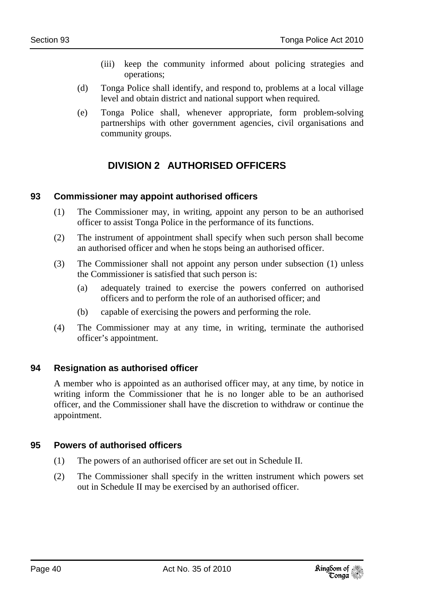- (iii) keep the community informed about policing strategies and operations;
- (d) Tonga Police shall identify, and respond to, problems at a local village level and obtain district and national support when required.
- (e) Tonga Police shall, whenever appropriate, form problem-solving partnerships with other government agencies, civil organisations and community groups.

# **DIVISION 2 AUTHORISED OFFICERS**

# **93 Commissioner may appoint authorised officers**

- (1) The Commissioner may, in writing, appoint any person to be an authorised officer to assist Tonga Police in the performance of its functions.
- (2) The instrument of appointment shall specify when such person shall become an authorised officer and when he stops being an authorised officer.
- (3) The Commissioner shall not appoint any person under subsection (1) unless the Commissioner is satisfied that such person is:
	- (a) adequately trained to exercise the powers conferred on authorised officers and to perform the role of an authorised officer; and
	- (b) capable of exercising the powers and performing the role.
- (4) The Commissioner may at any time, in writing, terminate the authorised officer's appointment.

## **94 Resignation as authorised officer**

A member who is appointed as an authorised officer may, at any time, by notice in writing inform the Commissioner that he is no longer able to be an authorised officer, and the Commissioner shall have the discretion to withdraw or continue the appointment.

# **95 Powers of authorised officers**

- (1) The powers of an authorised officer are set out in Schedule II.
- (2) The Commissioner shall specify in the written instrument which powers set out in Schedule II may be exercised by an authorised officer.

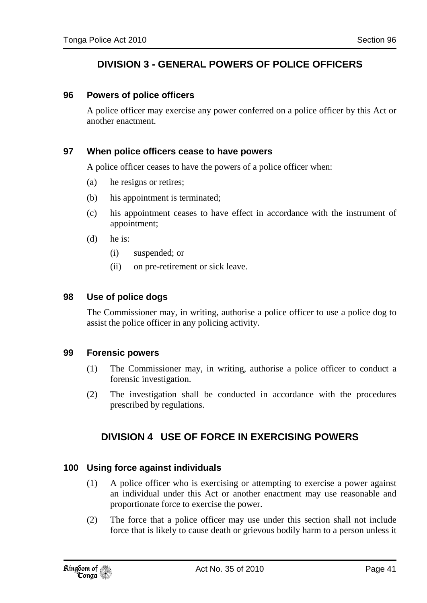# **DIVISION 3 - GENERAL POWERS OF POLICE OFFICERS**

#### **96 Powers of police officers**

A police officer may exercise any power conferred on a police officer by this Act or another enactment.

#### **97 When police officers cease to have powers**

A police officer ceases to have the powers of a police officer when:

- (a) he resigns or retires;
- (b) his appointment is terminated;
- (c) his appointment ceases to have effect in accordance with the instrument of appointment;
- (d) he is:
	- (i) suspended; or
	- (ii) on pre-retirement or sick leave.

#### **98 Use of police dogs**

The Commissioner may, in writing, authorise a police officer to use a police dog to assist the police officer in any policing activity.

#### **99 Forensic powers**

- (1) The Commissioner may, in writing, authorise a police officer to conduct a forensic investigation.
- (2) The investigation shall be conducted in accordance with the procedures prescribed by regulations.

## **DIVISION 4 USE OF FORCE IN EXERCISING POWERS**

#### **100 Using force against individuals**

- (1) A police officer who is exercising or attempting to exercise a power against an individual under this Act or another enactment may use reasonable and proportionate force to exercise the power.
- (2) The force that a police officer may use under this section shall not include force that is likely to cause death or grievous bodily harm to a person unless it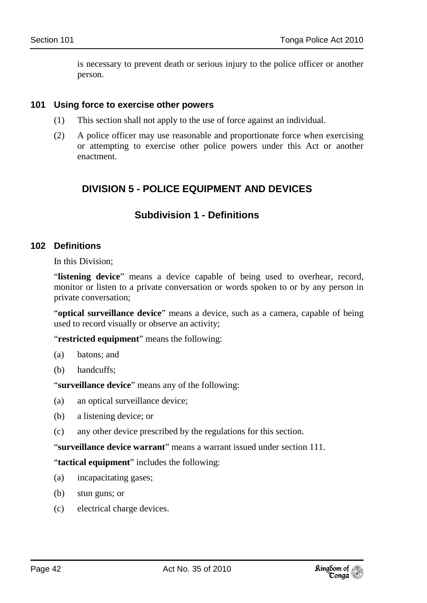is necessary to prevent death or serious injury to the police officer or another person.

#### **101 Using force to exercise other powers**

- (1) This section shall not apply to the use of force against an individual.
- (2) A police officer may use reasonable and proportionate force when exercising or attempting to exercise other police powers under this Act or another enactment.

# **DIVISION 5 - POLICE EQUIPMENT AND DEVICES**

# **Subdivision 1 - Definitions**

#### **102 Definitions**

In this Division;

"**listening device**" means a device capable of being used to overhear, record, monitor or listen to a private conversation or words spoken to or by any person in private conversation;

"**optical surveillance device**" means a device, such as a camera, capable of being used to record visually or observe an activity;

"**restricted equipment**" means the following:

- (a) batons; and
- (b) handcuffs;

"**surveillance device**" means any of the following:

- (a) an optical surveillance device;
- (b) a listening device; or
- (c) any other device prescribed by the regulations for this section.

"**surveillance device warrant**" means a warrant issued under section 111.

"**tactical equipment**" includes the following:

- (a) incapacitating gases;
- (b) stun guns; or
- (c) electrical charge devices.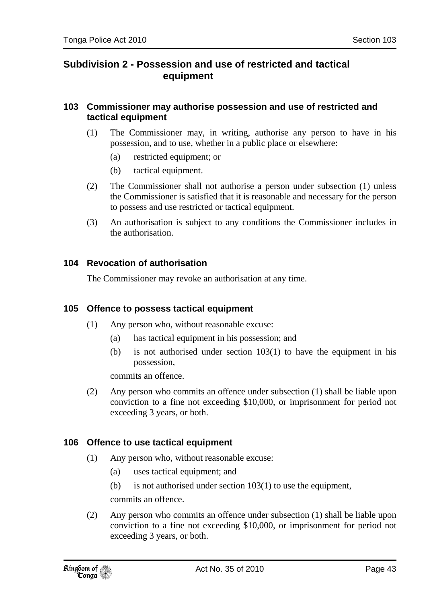# **Subdivision 2 - Possession and use of restricted and tactical equipment**

#### **103 Commissioner may authorise possession and use of restricted and tactical equipment**

- (1) The Commissioner may, in writing, authorise any person to have in his possession, and to use, whether in a public place or elsewhere:
	- (a) restricted equipment; or
	- (b) tactical equipment.
- (2) The Commissioner shall not authorise a person under subsection (1) unless the Commissioner is satisfied that it is reasonable and necessary for the person to possess and use restricted or tactical equipment.
- (3) An authorisation is subject to any conditions the Commissioner includes in the authorisation.

#### **104 Revocation of authorisation**

The Commissioner may revoke an authorisation at any time.

#### **105 Offence to possess tactical equipment**

- (1) Any person who, without reasonable excuse:
	- (a) has tactical equipment in his possession; and
	- (b) is not authorised under section 103(1) to have the equipment in his possession,

commits an offence.

(2) Any person who commits an offence under subsection (1) shall be liable upon conviction to a fine not exceeding \$10,000, or imprisonment for period not exceeding 3 years, or both.

#### **106 Offence to use tactical equipment**

- (1) Any person who, without reasonable excuse:
	- (a) uses tactical equipment; and
	- (b) is not authorised under section 103(1) to use the equipment,

commits an offence.

(2) Any person who commits an offence under subsection (1) shall be liable upon conviction to a fine not exceeding \$10,000, or imprisonment for period not exceeding 3 years, or both.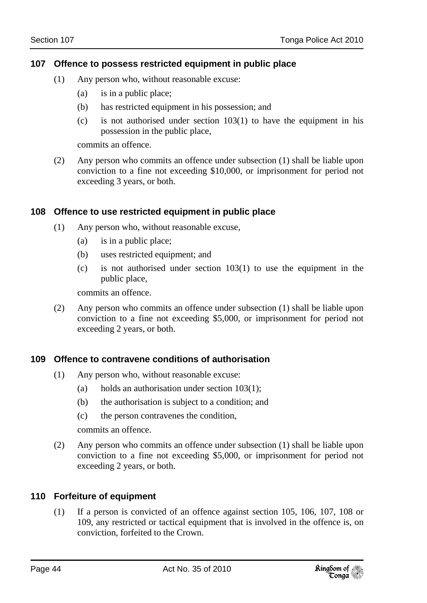### **107 Offence to possess restricted equipment in public place**

- (1) Any person who, without reasonable excuse:
	- (a) is in a public place;
	- (b) has restricted equipment in his possession; and
	- (c) is not authorised under section 103(1) to have the equipment in his possession in the public place,

commits an offence.

(2) Any person who commits an offence under subsection (1) shall be liable upon conviction to a fine not exceeding \$10,000, or imprisonment for period not exceeding 3 years, or both.

#### **108 Offence to use restricted equipment in public place**

- (1) Any person who, without reasonable excuse,
	- (a) is in a public place;
	- (b) uses restricted equipment; and
	- (c) is not authorised under section 103(1) to use the equipment in the public place,

commits an offence.

(2) Any person who commits an offence under subsection (1) shall be liable upon conviction to a fine not exceeding \$5,000, or imprisonment for period not exceeding 2 years, or both.

#### **109 Offence to contravene conditions of authorisation**

- (1) Any person who, without reasonable excuse:
	- (a) holds an authorisation under section 103(1);
	- (b) the authorisation is subject to a condition; and
	- (c) the person contravenes the condition,

commits an offence.

(2) Any person who commits an offence under subsection (1) shall be liable upon conviction to a fine not exceeding \$5,000, or imprisonment for period not exceeding 2 years, or both.

## **110 Forfeiture of equipment**

(1) If a person is convicted of an offence against section 105, 106, 107, 108 or 109, any restricted or tactical equipment that is involved in the offence is, on conviction, forfeited to the Crown.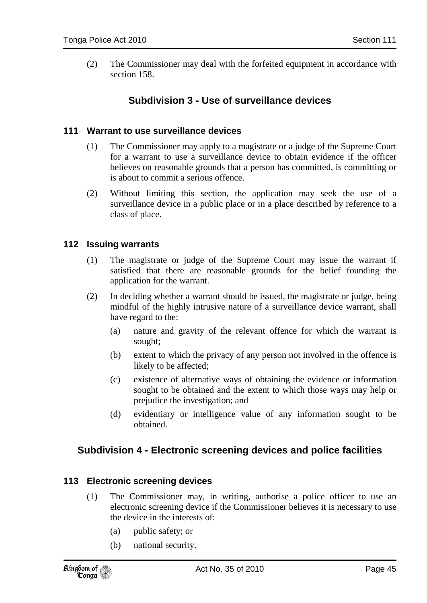(2) The Commissioner may deal with the forfeited equipment in accordance with section 158.

# **Subdivision 3 - Use of surveillance devices**

#### **111 Warrant to use surveillance devices**

- (1) The Commissioner may apply to a magistrate or a judge of the Supreme Court for a warrant to use a surveillance device to obtain evidence if the officer believes on reasonable grounds that a person has committed, is committing or is about to commit a serious offence.
- (2) Without limiting this section, the application may seek the use of a surveillance device in a public place or in a place described by reference to a class of place.

#### **112 Issuing warrants**

- (1) The magistrate or judge of the Supreme Court may issue the warrant if satisfied that there are reasonable grounds for the belief founding the application for the warrant.
- (2) In deciding whether a warrant should be issued, the magistrate or judge, being mindful of the highly intrusive nature of a surveillance device warrant, shall have regard to the:
	- (a) nature and gravity of the relevant offence for which the warrant is sought;
	- (b) extent to which the privacy of any person not involved in the offence is likely to be affected;
	- (c) existence of alternative ways of obtaining the evidence or information sought to be obtained and the extent to which those ways may help or prejudice the investigation; and
	- (d) evidentiary or intelligence value of any information sought to be obtained.

## **Subdivision 4 - Electronic screening devices and police facilities**

#### **113 Electronic screening devices**

- (1) The Commissioner may, in writing, authorise a police officer to use an electronic screening device if the Commissioner believes it is necessary to use the device in the interests of:
	- (a) public safety; or
	- (b) national security.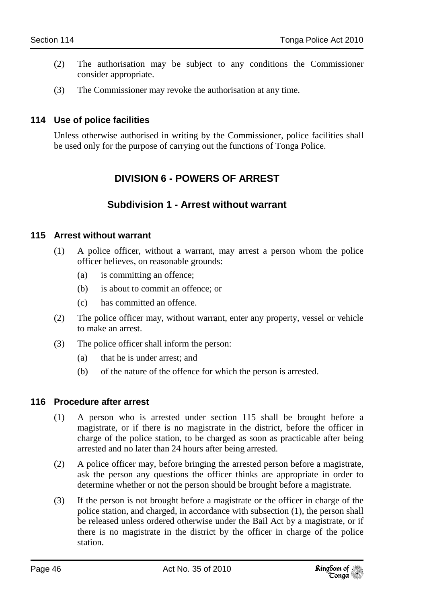- (2) The authorisation may be subject to any conditions the Commissioner consider appropriate.
- (3) The Commissioner may revoke the authorisation at any time.

### **114 Use of police facilities**

Unless otherwise authorised in writing by the Commissioner, police facilities shall be used only for the purpose of carrying out the functions of Tonga Police.

# **DIVISION 6 - POWERS OF ARREST**

# **Subdivision 1 - Arrest without warrant**

#### **115 Arrest without warrant**

- (1) A police officer, without a warrant, may arrest a person whom the police officer believes, on reasonable grounds:
	- (a) is committing an offence;
	- (b) is about to commit an offence; or
	- (c) has committed an offence.
- (2) The police officer may, without warrant, enter any property, vessel or vehicle to make an arrest.
- (3) The police officer shall inform the person:
	- (a) that he is under arrest; and
	- (b) of the nature of the offence for which the person is arrested.

#### **116 Procedure after arrest**

- (1) A person who is arrested under section 115 shall be brought before a magistrate, or if there is no magistrate in the district, before the officer in charge of the police station, to be charged as soon as practicable after being arrested and no later than 24 hours after being arrested.
- (2) A police officer may, before bringing the arrested person before a magistrate, ask the person any questions the officer thinks are appropriate in order to determine whether or not the person should be brought before a magistrate.
- (3) If the person is not brought before a magistrate or the officer in charge of the police station, and charged, in accordance with subsection (1), the person shall be released unless ordered otherwise under the Bail Act by a magistrate, or if there is no magistrate in the district by the officer in charge of the police station.

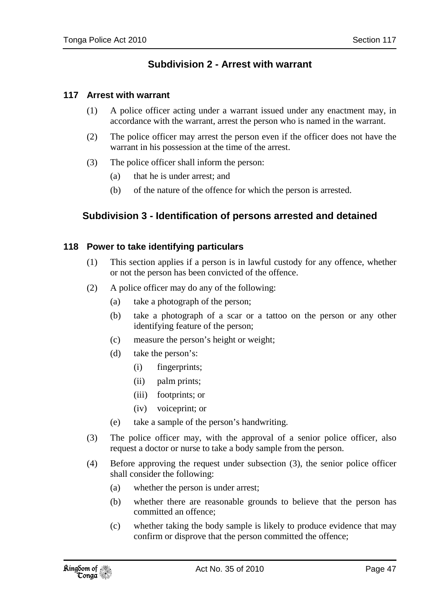# **Subdivision 2 - Arrest with warrant**

#### **117 Arrest with warrant**

- (1) A police officer acting under a warrant issued under any enactment may, in accordance with the warrant, arrest the person who is named in the warrant.
- (2) The police officer may arrest the person even if the officer does not have the warrant in his possession at the time of the arrest.
- (3) The police officer shall inform the person:
	- (a) that he is under arrest; and
	- (b) of the nature of the offence for which the person is arrested.

# **Subdivision 3 - Identification of persons arrested and detained**

#### **118 Power to take identifying particulars**

- (1) This section applies if a person is in lawful custody for any offence, whether or not the person has been convicted of the offence.
- (2) A police officer may do any of the following:
	- (a) take a photograph of the person;
	- (b) take a photograph of a scar or a tattoo on the person or any other identifying feature of the person;
	- (c) measure the person's height or weight;
	- (d) take the person's:
		- (i) fingerprints;
		- (ii) palm prints;
		- (iii) footprints; or
		- (iv) voiceprint; or
	- (e) take a sample of the person's handwriting.
- (3) The police officer may, with the approval of a senior police officer, also request a doctor or nurse to take a body sample from the person.
- (4) Before approving the request under subsection (3), the senior police officer shall consider the following:
	- (a) whether the person is under arrest;
	- (b) whether there are reasonable grounds to believe that the person has committed an offence;
	- (c) whether taking the body sample is likely to produce evidence that may confirm or disprove that the person committed the offence;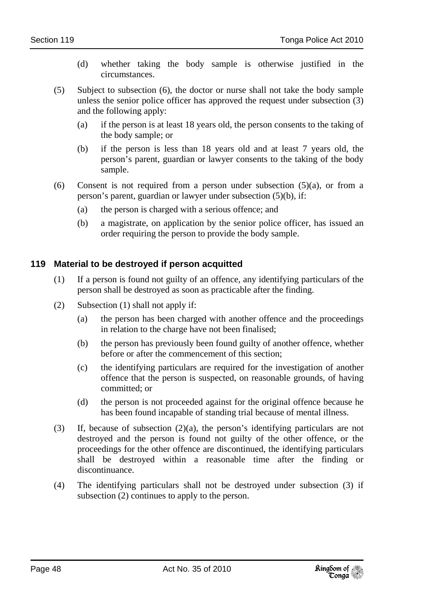- (d) whether taking the body sample is otherwise justified in the circumstances.
- (5) Subject to subsection (6), the doctor or nurse shall not take the body sample unless the senior police officer has approved the request under subsection (3) and the following apply:
	- (a) if the person is at least 18 years old, the person consents to the taking of the body sample; or
	- (b) if the person is less than 18 years old and at least 7 years old, the person's parent, guardian or lawyer consents to the taking of the body sample.
- (6) Consent is not required from a person under subsection (5)(a), or from a person's parent, guardian or lawyer under subsection (5)(b), if:
	- (a) the person is charged with a serious offence; and
	- (b) a magistrate, on application by the senior police officer, has issued an order requiring the person to provide the body sample.

### **119 Material to be destroyed if person acquitted**

- (1) If a person is found not guilty of an offence, any identifying particulars of the person shall be destroyed as soon as practicable after the finding.
- (2) Subsection (1) shall not apply if:
	- (a) the person has been charged with another offence and the proceedings in relation to the charge have not been finalised;
	- (b) the person has previously been found guilty of another offence, whether before or after the commencement of this section;
	- (c) the identifying particulars are required for the investigation of another offence that the person is suspected, on reasonable grounds, of having committed; or
	- (d) the person is not proceeded against for the original offence because he has been found incapable of standing trial because of mental illness.
- (3) If, because of subsection (2)(a), the person's identifying particulars are not destroyed and the person is found not guilty of the other offence, or the proceedings for the other offence are discontinued, the identifying particulars shall be destroyed within a reasonable time after the finding or discontinuance.
- (4) The identifying particulars shall not be destroyed under subsection (3) if subsection (2) continues to apply to the person.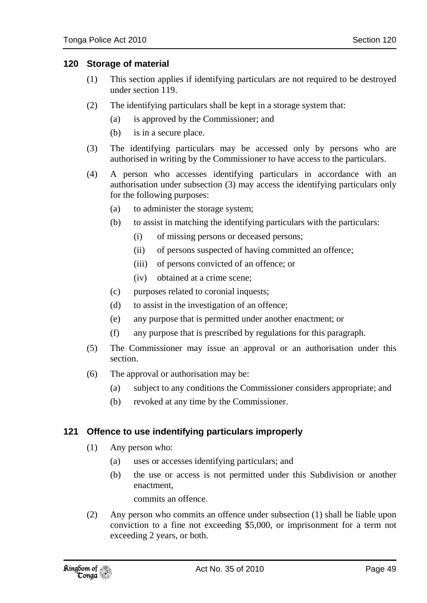#### **120 Storage of material**

- (1) This section applies if identifying particulars are not required to be destroyed under section 119.
- (2) The identifying particulars shall be kept in a storage system that:
	- (a) is approved by the Commissioner; and
	- (b) is in a secure place.
- (3) The identifying particulars may be accessed only by persons who are authorised in writing by the Commissioner to have access to the particulars.
- (4) A person who accesses identifying particulars in accordance with an authorisation under subsection (3) may access the identifying particulars only for the following purposes:
	- (a) to administer the storage system;
	- (b) to assist in matching the identifying particulars with the particulars:
		- (i) of missing persons or deceased persons;
		- (ii) of persons suspected of having committed an offence;
		- (iii) of persons convicted of an offence; or
		- (iv) obtained at a crime scene;
	- (c) purposes related to coronial inquests;
	- (d) to assist in the investigation of an offence;
	- (e) any purpose that is permitted under another enactment; or
	- (f) any purpose that is prescribed by regulations for this paragraph.
- (5) The Commissioner may issue an approval or an authorisation under this section.
- (6) The approval or authorisation may be:
	- (a) subject to any conditions the Commissioner considers appropriate; and
	- (b) revoked at any time by the Commissioner.

#### **121 Offence to use indentifying particulars improperly**

- (1) Any person who:
	- (a) uses or accesses identifying particulars; and
	- (b) the use or access is not permitted under this Subdivision or another enactment,

commits an offence.

(2) Any person who commits an offence under subsection (1) shall be liable upon conviction to a fine not exceeding \$5,000, or imprisonment for a term not exceeding 2 years, or both.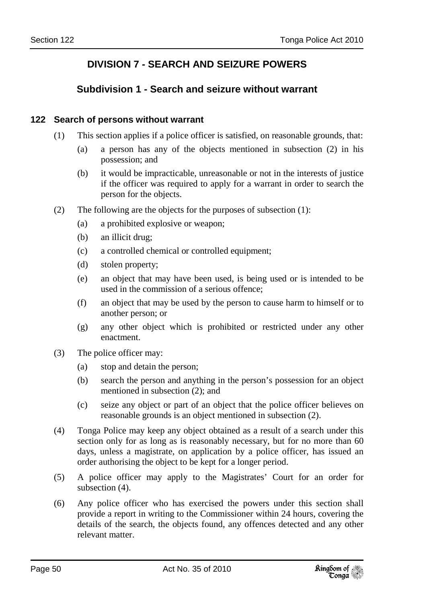# **DIVISION 7 - SEARCH AND SEIZURE POWERS**

# **Subdivision 1 - Search and seizure without warrant**

#### **122 Search of persons without warrant**

- (1) This section applies if a police officer is satisfied, on reasonable grounds, that:
	- (a) a person has any of the objects mentioned in subsection (2) in his possession; and
	- (b) it would be impracticable, unreasonable or not in the interests of justice if the officer was required to apply for a warrant in order to search the person for the objects.
- (2) The following are the objects for the purposes of subsection (1):
	- (a) a prohibited explosive or weapon;
	- (b) an illicit drug;
	- (c) a controlled chemical or controlled equipment;
	- (d) stolen property;
	- (e) an object that may have been used, is being used or is intended to be used in the commission of a serious offence;
	- (f) an object that may be used by the person to cause harm to himself or to another person; or
	- (g) any other object which is prohibited or restricted under any other enactment.
- (3) The police officer may:
	- (a) stop and detain the person;
	- (b) search the person and anything in the person's possession for an object mentioned in subsection (2); and
	- (c) seize any object or part of an object that the police officer believes on reasonable grounds is an object mentioned in subsection (2).
- (4) Tonga Police may keep any object obtained as a result of a search under this section only for as long as is reasonably necessary, but for no more than 60 days, unless a magistrate, on application by a police officer, has issued an order authorising the object to be kept for a longer period.
- (5) A police officer may apply to the Magistrates' Court for an order for subsection  $(4)$ .
- (6) Any police officer who has exercised the powers under this section shall provide a report in writing to the Commissioner within 24 hours, covering the details of the search, the objects found, any offences detected and any other relevant matter.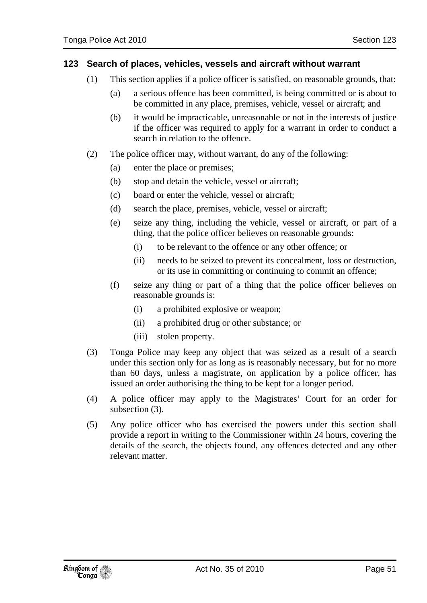#### **123 Search of places, vehicles, vessels and aircraft without warrant**

- (1) This section applies if a police officer is satisfied, on reasonable grounds, that:
	- (a) a serious offence has been committed, is being committed or is about to be committed in any place, premises, vehicle, vessel or aircraft; and
	- (b) it would be impracticable, unreasonable or not in the interests of justice if the officer was required to apply for a warrant in order to conduct a search in relation to the offence.
- (2) The police officer may, without warrant, do any of the following:
	- (a) enter the place or premises;
	- (b) stop and detain the vehicle, vessel or aircraft;
	- (c) board or enter the vehicle, vessel or aircraft;
	- (d) search the place, premises, vehicle, vessel or aircraft;
	- (e) seize any thing, including the vehicle, vessel or aircraft, or part of a thing, that the police officer believes on reasonable grounds:
		- (i) to be relevant to the offence or any other offence; or
		- (ii) needs to be seized to prevent its concealment, loss or destruction, or its use in committing or continuing to commit an offence;
	- (f) seize any thing or part of a thing that the police officer believes on reasonable grounds is:
		- (i) a prohibited explosive or weapon;
		- (ii) a prohibited drug or other substance; or
		- (iii) stolen property.
- (3) Tonga Police may keep any object that was seized as a result of a search under this section only for as long as is reasonably necessary, but for no more than 60 days, unless a magistrate, on application by a police officer, has issued an order authorising the thing to be kept for a longer period.
- (4) A police officer may apply to the Magistrates' Court for an order for subsection (3).
- (5) Any police officer who has exercised the powers under this section shall provide a report in writing to the Commissioner within 24 hours, covering the details of the search, the objects found, any offences detected and any other relevant matter.

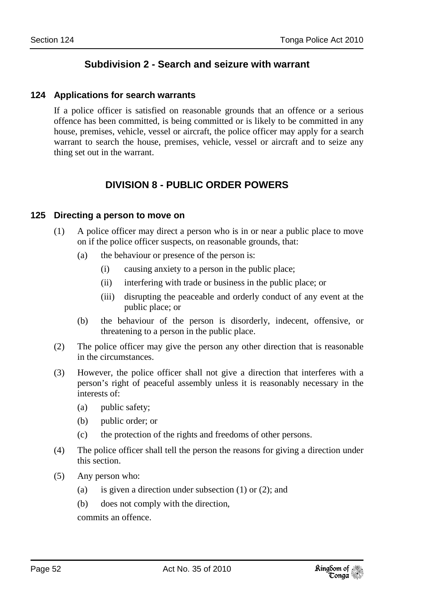# **Subdivision 2 - Search and seizure with warrant**

#### **124 Applications for search warrants**

If a police officer is satisfied on reasonable grounds that an offence or a serious offence has been committed, is being committed or is likely to be committed in any house, premises, vehicle, vessel or aircraft, the police officer may apply for a search warrant to search the house, premises, vehicle, vessel or aircraft and to seize any thing set out in the warrant.

# **DIVISION 8 - PUBLIC ORDER POWERS**

#### **125 Directing a person to move on**

- (1) A police officer may direct a person who is in or near a public place to move on if the police officer suspects, on reasonable grounds, that:
	- (a) the behaviour or presence of the person is:
		- (i) causing anxiety to a person in the public place;
		- (ii) interfering with trade or business in the public place; or
		- (iii) disrupting the peaceable and orderly conduct of any event at the public place; or
	- (b) the behaviour of the person is disorderly, indecent, offensive, or threatening to a person in the public place.
- (2) The police officer may give the person any other direction that is reasonable in the circumstances.
- (3) However, the police officer shall not give a direction that interferes with a person's right of peaceful assembly unless it is reasonably necessary in the interests of:
	- (a) public safety;
	- (b) public order; or
	- (c) the protection of the rights and freedoms of other persons.
- (4) The police officer shall tell the person the reasons for giving a direction under this section.
- (5) Any person who:
	- (a) is given a direction under subsection (1) or (2); and
	- (b) does not comply with the direction,

commits an offence.

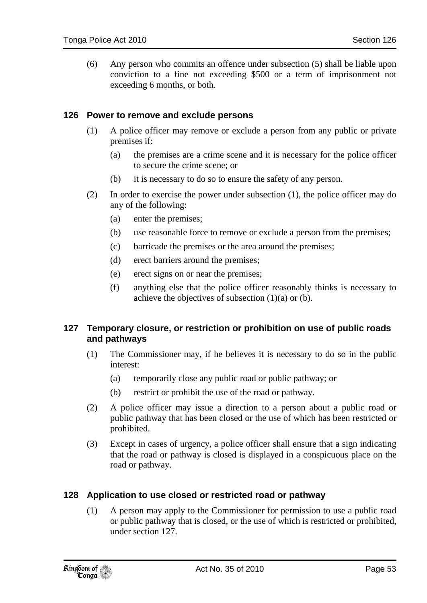(6) Any person who commits an offence under subsection (5) shall be liable upon conviction to a fine not exceeding \$500 or a term of imprisonment not exceeding 6 months, or both.

#### **126 Power to remove and exclude persons**

- (1) A police officer may remove or exclude a person from any public or private premises if:
	- (a) the premises are a crime scene and it is necessary for the police officer to secure the crime scene; or
	- (b) it is necessary to do so to ensure the safety of any person.
- (2) In order to exercise the power under subsection (1), the police officer may do any of the following:
	- (a) enter the premises;
	- (b) use reasonable force to remove or exclude a person from the premises;
	- (c) barricade the premises or the area around the premises;
	- (d) erect barriers around the premises;
	- (e) erect signs on or near the premises;
	- (f) anything else that the police officer reasonably thinks is necessary to achieve the objectives of subsection  $(1)(a)$  or  $(b)$ .

#### **127 Temporary closure, or restriction or prohibition on use of public roads and pathways**

- (1) The Commissioner may, if he believes it is necessary to do so in the public interest:
	- (a) temporarily close any public road or public pathway; or
	- (b) restrict or prohibit the use of the road or pathway.
- (2) A police officer may issue a direction to a person about a public road or public pathway that has been closed or the use of which has been restricted or prohibited.
- (3) Except in cases of urgency, a police officer shall ensure that a sign indicating that the road or pathway is closed is displayed in a conspicuous place on the road or pathway.

#### **128 Application to use closed or restricted road or pathway**

(1) A person may apply to the Commissioner for permission to use a public road or public pathway that is closed, or the use of which is restricted or prohibited, under section 127.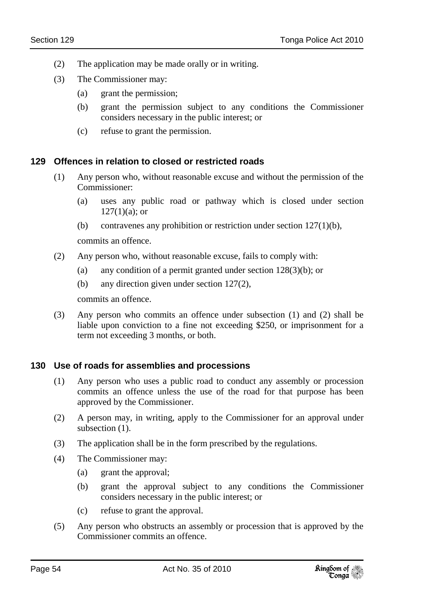- (2) The application may be made orally or in writing.
- (3) The Commissioner may:
	- (a) grant the permission;
	- (b) grant the permission subject to any conditions the Commissioner considers necessary in the public interest; or
	- (c) refuse to grant the permission.

#### **129 Offences in relation to closed or restricted roads**

- (1) Any person who, without reasonable excuse and without the permission of the Commissioner:
	- (a) uses any public road or pathway which is closed under section  $127(1)(a)$ ; or
	- (b) contravenes any prohibition or restriction under section 127(1)(b),

commits an offence.

- (2) Any person who, without reasonable excuse, fails to comply with:
	- (a) any condition of a permit granted under section 128(3)(b); or
	- (b) any direction given under section 127(2),

commits an offence.

(3) Any person who commits an offence under subsection (1) and (2) shall be liable upon conviction to a fine not exceeding \$250, or imprisonment for a term not exceeding 3 months, or both.

#### **130 Use of roads for assemblies and processions**

- (1) Any person who uses a public road to conduct any assembly or procession commits an offence unless the use of the road for that purpose has been approved by the Commissioner.
- (2) A person may, in writing, apply to the Commissioner for an approval under subsection  $(1)$ .
- (3) The application shall be in the form prescribed by the regulations.
- (4) The Commissioner may:
	- (a) grant the approval;
	- (b) grant the approval subject to any conditions the Commissioner considers necessary in the public interest; or
	- (c) refuse to grant the approval.
- (5) Any person who obstructs an assembly or procession that is approved by the Commissioner commits an offence.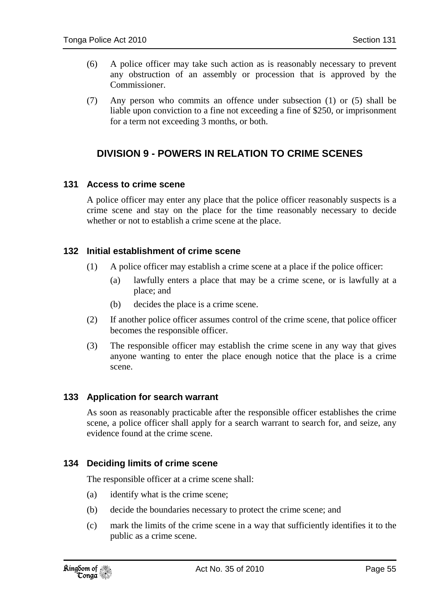- (6) A police officer may take such action as is reasonably necessary to prevent any obstruction of an assembly or procession that is approved by the Commissioner.
- (7) Any person who commits an offence under subsection (1) or (5) shall be liable upon conviction to a fine not exceeding a fine of \$250, or imprisonment for a term not exceeding 3 months, or both.

# **DIVISION 9 - POWERS IN RELATION TO CRIME SCENES**

### **131 Access to crime scene**

A police officer may enter any place that the police officer reasonably suspects is a crime scene and stay on the place for the time reasonably necessary to decide whether or not to establish a crime scene at the place.

### **132 Initial establishment of crime scene**

- (1) A police officer may establish a crime scene at a place if the police officer:
	- (a) lawfully enters a place that may be a crime scene, or is lawfully at a place; and
	- (b) decides the place is a crime scene.
- (2) If another police officer assumes control of the crime scene, that police officer becomes the responsible officer.
- (3) The responsible officer may establish the crime scene in any way that gives anyone wanting to enter the place enough notice that the place is a crime scene.

#### **133 Application for search warrant**

As soon as reasonably practicable after the responsible officer establishes the crime scene, a police officer shall apply for a search warrant to search for, and seize, any evidence found at the crime scene.

#### **134 Deciding limits of crime scene**

The responsible officer at a crime scene shall:

- (a) identify what is the crime scene;
- (b) decide the boundaries necessary to protect the crime scene; and
- (c) mark the limits of the crime scene in a way that sufficiently identifies it to the public as a crime scene.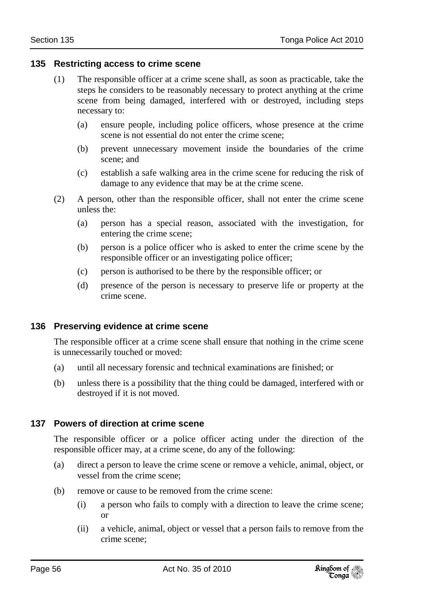#### **135 Restricting access to crime scene**

- (1) The responsible officer at a crime scene shall, as soon as practicable, take the steps he considers to be reasonably necessary to protect anything at the crime scene from being damaged, interfered with or destroyed, including steps necessary to:
	- (a) ensure people, including police officers, whose presence at the crime scene is not essential do not enter the crime scene;
	- (b) prevent unnecessary movement inside the boundaries of the crime scene; and
	- (c) establish a safe walking area in the crime scene for reducing the risk of damage to any evidence that may be at the crime scene.
- (2) A person, other than the responsible officer, shall not enter the crime scene unless the:
	- (a) person has a special reason, associated with the investigation, for entering the crime scene;
	- (b) person is a police officer who is asked to enter the crime scene by the responsible officer or an investigating police officer;
	- (c) person is authorised to be there by the responsible officer; or
	- (d) presence of the person is necessary to preserve life or property at the crime scene.

#### **136 Preserving evidence at crime scene**

The responsible officer at a crime scene shall ensure that nothing in the crime scene is unnecessarily touched or moved:

- (a) until all necessary forensic and technical examinations are finished; or
- (b) unless there is a possibility that the thing could be damaged, interfered with or destroyed if it is not moved.

#### **137 Powers of direction at crime scene**

The responsible officer or a police officer acting under the direction of the responsible officer may, at a crime scene, do any of the following:

- (a) direct a person to leave the crime scene or remove a vehicle, animal, object, or vessel from the crime scene;
- (b) remove or cause to be removed from the crime scene:
	- (i) a person who fails to comply with a direction to leave the crime scene; or
	- (ii) a vehicle, animal, object or vessel that a person fails to remove from the crime scene;

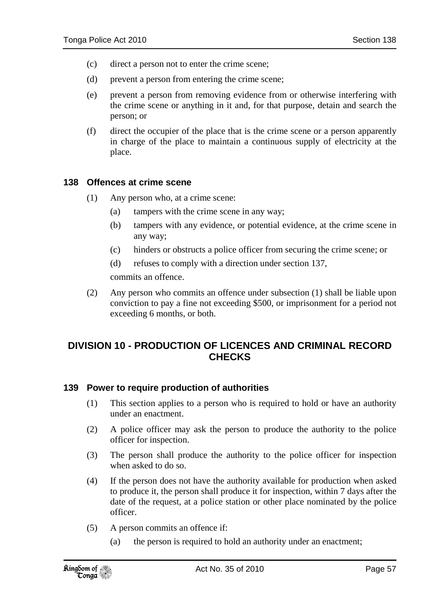- (c) direct a person not to enter the crime scene;
- (d) prevent a person from entering the crime scene;
- (e) prevent a person from removing evidence from or otherwise interfering with the crime scene or anything in it and, for that purpose, detain and search the person; or
- (f) direct the occupier of the place that is the crime scene or a person apparently in charge of the place to maintain a continuous supply of electricity at the place.

#### **138 Offences at crime scene**

- (1) Any person who, at a crime scene:
	- (a) tampers with the crime scene in any way;
	- (b) tampers with any evidence, or potential evidence, at the crime scene in any way;
	- (c) hinders or obstructs a police officer from securing the crime scene; or
	- (d) refuses to comply with a direction under section 137,

commits an offence.

(2) Any person who commits an offence under subsection (1) shall be liable upon conviction to pay a fine not exceeding \$500, or imprisonment for a period not exceeding 6 months, or both.

# **DIVISION 10 - PRODUCTION OF LICENCES AND CRIMINAL RECORD CHECKS**

#### **139 Power to require production of authorities**

- (1) This section applies to a person who is required to hold or have an authority under an enactment.
- (2) A police officer may ask the person to produce the authority to the police officer for inspection.
- (3) The person shall produce the authority to the police officer for inspection when asked to do so.
- (4) If the person does not have the authority available for production when asked to produce it, the person shall produce it for inspection, within 7 days after the date of the request, at a police station or other place nominated by the police officer.
- (5) A person commits an offence if:
	- (a) the person is required to hold an authority under an enactment;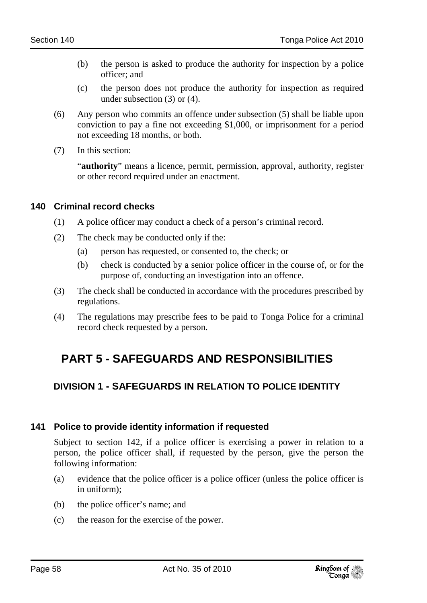- (b) the person is asked to produce the authority for inspection by a police officer; and
- (c) the person does not produce the authority for inspection as required under subsection (3) or (4).
- (6) Any person who commits an offence under subsection (5) shall be liable upon conviction to pay a fine not exceeding \$1,000, or imprisonment for a period not exceeding 18 months, or both.
- (7) In this section:

"**authority**" means a licence, permit, permission, approval, authority, register or other record required under an enactment.

## **140 Criminal record checks**

- (1) A police officer may conduct a check of a person's criminal record.
- (2) The check may be conducted only if the:
	- (a) person has requested, or consented to, the check; or
	- (b) check is conducted by a senior police officer in the course of, or for the purpose of, conducting an investigation into an offence.
- (3) The check shall be conducted in accordance with the procedures prescribed by regulations.
- (4) The regulations may prescribe fees to be paid to Tonga Police for a criminal record check requested by a person.

# **PART 5 - SAFEGUARDS AND RESPONSIBILITIES**

# **DIVISION 1 - SAFEGUARDS IN RELATION TO POLICE IDENTITY**

## **141 Police to provide identity information if requested**

Subject to section 142, if a police officer is exercising a power in relation to a person, the police officer shall, if requested by the person, give the person the following information:

- (a) evidence that the police officer is a police officer (unless the police officer is in uniform);
- (b) the police officer's name; and
- (c) the reason for the exercise of the power.

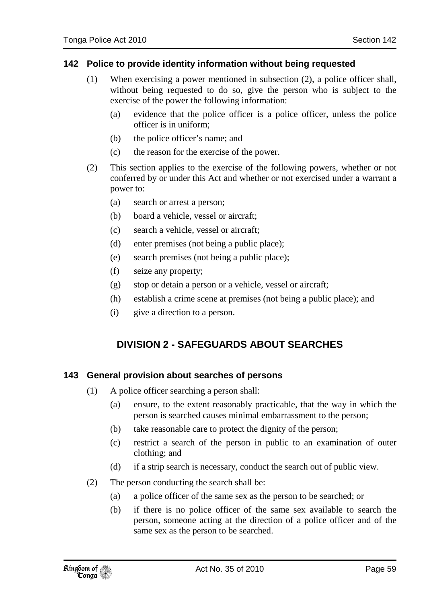#### **142 Police to provide identity information without being requested**

- (1) When exercising a power mentioned in subsection (2), a police officer shall, without being requested to do so, give the person who is subject to the exercise of the power the following information:
	- (a) evidence that the police officer is a police officer, unless the police officer is in uniform;
	- (b) the police officer's name; and
	- (c) the reason for the exercise of the power.
- (2) This section applies to the exercise of the following powers, whether or not conferred by or under this Act and whether or not exercised under a warrant a power to:
	- (a) search or arrest a person;
	- (b) board a vehicle, vessel or aircraft;
	- (c) search a vehicle, vessel or aircraft;
	- (d) enter premises (not being a public place);
	- (e) search premises (not being a public place);
	- (f) seize any property;
	- (g) stop or detain a person or a vehicle, vessel or aircraft;
	- (h) establish a crime scene at premises (not being a public place); and
	- (i) give a direction to a person.

# **DIVISION 2 - SAFEGUARDS ABOUT SEARCHES**

## **143 General provision about searches of persons**

- (1) A police officer searching a person shall:
	- (a) ensure, to the extent reasonably practicable, that the way in which the person is searched causes minimal embarrassment to the person;
	- (b) take reasonable care to protect the dignity of the person;
	- (c) restrict a search of the person in public to an examination of outer clothing; and
	- (d) if a strip search is necessary, conduct the search out of public view.
- (2) The person conducting the search shall be:
	- (a) a police officer of the same sex as the person to be searched; or
	- (b) if there is no police officer of the same sex available to search the person, someone acting at the direction of a police officer and of the same sex as the person to be searched.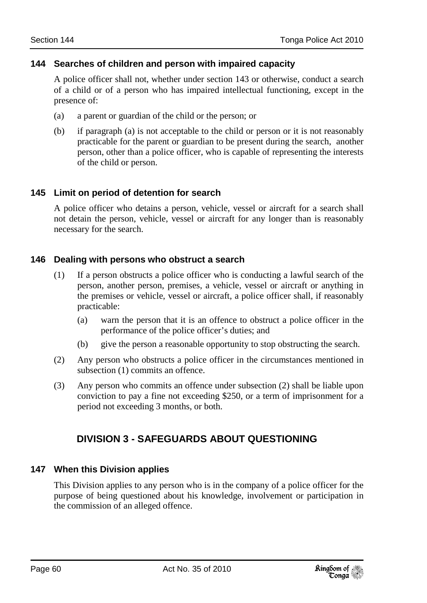#### **144 Searches of children and person with impaired capacity**

A police officer shall not, whether under section 143 or otherwise, conduct a search of a child or of a person who has impaired intellectual functioning, except in the presence of:

- (a) a parent or guardian of the child or the person; or
- (b) if paragraph (a) is not acceptable to the child or person or it is not reasonably practicable for the parent or guardian to be present during the search, another person, other than a police officer, who is capable of representing the interests of the child or person.

### **145 Limit on period of detention for search**

A police officer who detains a person, vehicle, vessel or aircraft for a search shall not detain the person, vehicle, vessel or aircraft for any longer than is reasonably necessary for the search.

#### **146 Dealing with persons who obstruct a search**

- (1) If a person obstructs a police officer who is conducting a lawful search of the person, another person, premises, a vehicle, vessel or aircraft or anything in the premises or vehicle, vessel or aircraft, a police officer shall, if reasonably practicable:
	- (a) warn the person that it is an offence to obstruct a police officer in the performance of the police officer's duties; and
	- (b) give the person a reasonable opportunity to stop obstructing the search.
- (2) Any person who obstructs a police officer in the circumstances mentioned in subsection (1) commits an offence.
- (3) Any person who commits an offence under subsection (2) shall be liable upon conviction to pay a fine not exceeding \$250, or a term of imprisonment for a period not exceeding 3 months, or both.

# **DIVISION 3 - SAFEGUARDS ABOUT QUESTIONING**

#### **147 When this Division applies**

This Division applies to any person who is in the company of a police officer for the purpose of being questioned about his knowledge, involvement or participation in the commission of an alleged offence.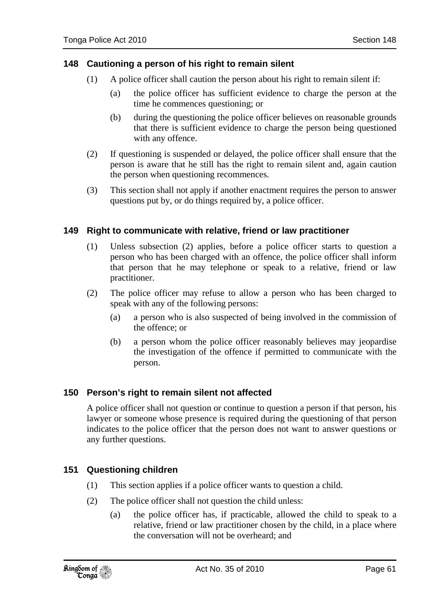### **148 Cautioning a person of his right to remain silent**

- (1) A police officer shall caution the person about his right to remain silent if:
	- (a) the police officer has sufficient evidence to charge the person at the time he commences questioning; or
	- (b) during the questioning the police officer believes on reasonable grounds that there is sufficient evidence to charge the person being questioned with any offence.
- (2) If questioning is suspended or delayed, the police officer shall ensure that the person is aware that he still has the right to remain silent and, again caution the person when questioning recommences.
- (3) This section shall not apply if another enactment requires the person to answer questions put by, or do things required by, a police officer.

### **149 Right to communicate with relative, friend or law practitioner**

- (1) Unless subsection (2) applies, before a police officer starts to question a person who has been charged with an offence, the police officer shall inform that person that he may telephone or speak to a relative, friend or law practitioner.
- (2) The police officer may refuse to allow a person who has been charged to speak with any of the following persons:
	- (a) a person who is also suspected of being involved in the commission of the offence; or
	- (b) a person whom the police officer reasonably believes may jeopardise the investigation of the offence if permitted to communicate with the person.

#### **150 Person's right to remain silent not affected**

A police officer shall not question or continue to question a person if that person, his lawyer or someone whose presence is required during the questioning of that person indicates to the police officer that the person does not want to answer questions or any further questions.

#### **151 Questioning children**

- (1) This section applies if a police officer wants to question a child.
- (2) The police officer shall not question the child unless:
	- (a) the police officer has, if practicable, allowed the child to speak to a relative, friend or law practitioner chosen by the child, in a place where the conversation will not be overheard; and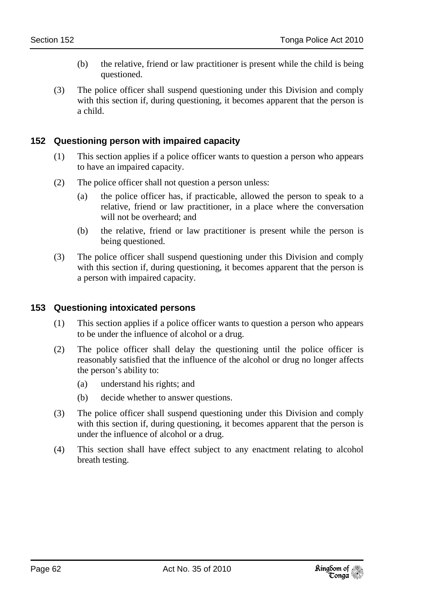- (b) the relative, friend or law practitioner is present while the child is being questioned.
- (3) The police officer shall suspend questioning under this Division and comply with this section if, during questioning, it becomes apparent that the person is a child.

## **152 Questioning person with impaired capacity**

- (1) This section applies if a police officer wants to question a person who appears to have an impaired capacity.
- (2) The police officer shall not question a person unless:
	- (a) the police officer has, if practicable, allowed the person to speak to a relative, friend or law practitioner, in a place where the conversation will not be overheard; and
	- (b) the relative, friend or law practitioner is present while the person is being questioned.
- (3) The police officer shall suspend questioning under this Division and comply with this section if, during questioning, it becomes apparent that the person is a person with impaired capacity.

#### **153 Questioning intoxicated persons**

- (1) This section applies if a police officer wants to question a person who appears to be under the influence of alcohol or a drug.
- (2) The police officer shall delay the questioning until the police officer is reasonably satisfied that the influence of the alcohol or drug no longer affects the person's ability to:
	- (a) understand his rights; and
	- (b) decide whether to answer questions.
- (3) The police officer shall suspend questioning under this Division and comply with this section if, during questioning, it becomes apparent that the person is under the influence of alcohol or a drug.
- (4) This section shall have effect subject to any enactment relating to alcohol breath testing.

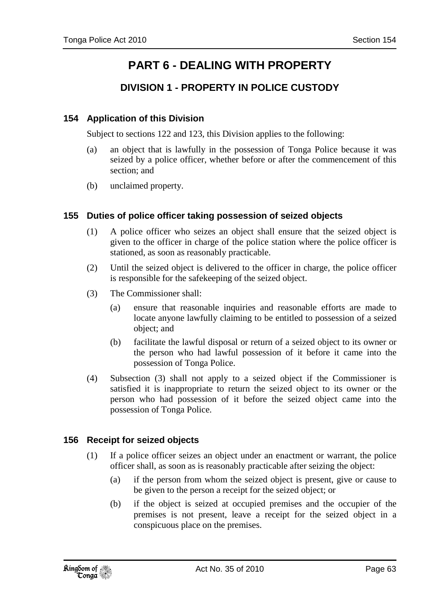# **PART 6 - DEALING WITH PROPERTY**

# **DIVISION 1 - PROPERTY IN POLICE CUSTODY**

### **154 Application of this Division**

Subject to sections 122 and 123, this Division applies to the following:

- (a) an object that is lawfully in the possession of Tonga Police because it was seized by a police officer, whether before or after the commencement of this section; and
- (b) unclaimed property.

#### **155 Duties of police officer taking possession of seized objects**

- (1) A police officer who seizes an object shall ensure that the seized object is given to the officer in charge of the police station where the police officer is stationed, as soon as reasonably practicable.
- (2) Until the seized object is delivered to the officer in charge, the police officer is responsible for the safekeeping of the seized object.
- (3) The Commissioner shall:
	- (a) ensure that reasonable inquiries and reasonable efforts are made to locate anyone lawfully claiming to be entitled to possession of a seized object; and
	- (b) facilitate the lawful disposal or return of a seized object to its owner or the person who had lawful possession of it before it came into the possession of Tonga Police.
- (4) Subsection (3) shall not apply to a seized object if the Commissioner is satisfied it is inappropriate to return the seized object to its owner or the person who had possession of it before the seized object came into the possession of Tonga Police.

#### **156 Receipt for seized objects**

- (1) If a police officer seizes an object under an enactment or warrant, the police officer shall, as soon as is reasonably practicable after seizing the object:
	- (a) if the person from whom the seized object is present, give or cause to be given to the person a receipt for the seized object; or
	- (b) if the object is seized at occupied premises and the occupier of the premises is not present, leave a receipt for the seized object in a conspicuous place on the premises.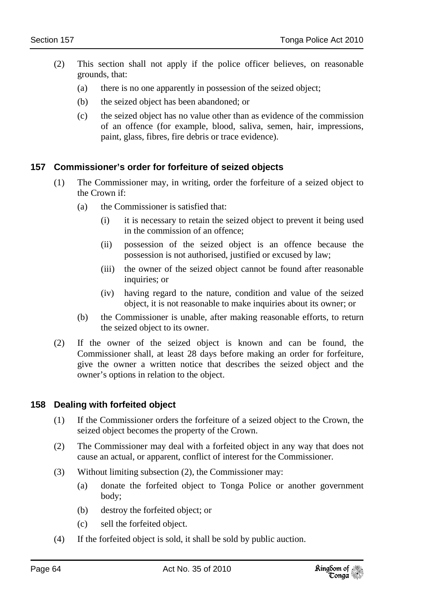- (2) This section shall not apply if the police officer believes, on reasonable grounds, that:
	- (a) there is no one apparently in possession of the seized object;
	- (b) the seized object has been abandoned; or
	- (c) the seized object has no value other than as evidence of the commission of an offence (for example, blood, saliva, semen, hair, impressions, paint, glass, fibres, fire debris or trace evidence).

#### **157 Commissioner's order for forfeiture of seized objects**

- (1) The Commissioner may, in writing, order the forfeiture of a seized object to the Crown if:
	- (a) the Commissioner is satisfied that:
		- (i) it is necessary to retain the seized object to prevent it being used in the commission of an offence;
		- (ii) possession of the seized object is an offence because the possession is not authorised, justified or excused by law;
		- (iii) the owner of the seized object cannot be found after reasonable inquiries; or
		- (iv) having regard to the nature, condition and value of the seized object, it is not reasonable to make inquiries about its owner; or
	- (b) the Commissioner is unable, after making reasonable efforts, to return the seized object to its owner.
- (2) If the owner of the seized object is known and can be found, the Commissioner shall, at least 28 days before making an order for forfeiture, give the owner a written notice that describes the seized object and the owner's options in relation to the object.

#### **158 Dealing with forfeited object**

- (1) If the Commissioner orders the forfeiture of a seized object to the Crown, the seized object becomes the property of the Crown.
- (2) The Commissioner may deal with a forfeited object in any way that does not cause an actual, or apparent, conflict of interest for the Commissioner.
- (3) Without limiting subsection (2), the Commissioner may:
	- (a) donate the forfeited object to Tonga Police or another government body;
	- (b) destroy the forfeited object; or
	- (c) sell the forfeited object.
- (4) If the forfeited object is sold, it shall be sold by public auction.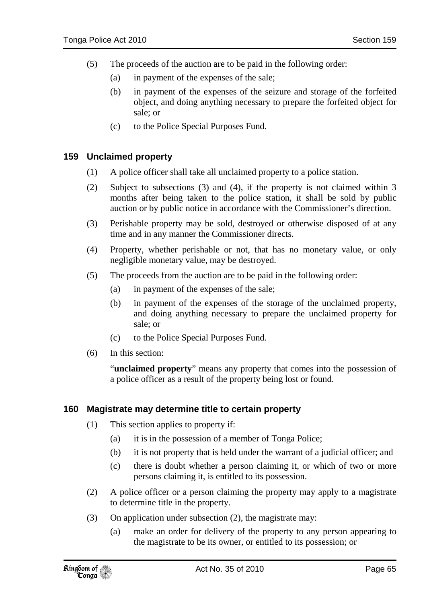- (5) The proceeds of the auction are to be paid in the following order:
	- (a) in payment of the expenses of the sale;
	- (b) in payment of the expenses of the seizure and storage of the forfeited object, and doing anything necessary to prepare the forfeited object for sale; or
	- (c) to the Police Special Purposes Fund.

#### **159 Unclaimed property**

- (1) A police officer shall take all unclaimed property to a police station.
- (2) Subject to subsections (3) and (4), if the property is not claimed within 3 months after being taken to the police station, it shall be sold by public auction or by public notice in accordance with the Commissioner's direction.
- (3) Perishable property may be sold, destroyed or otherwise disposed of at any time and in any manner the Commissioner directs.
- (4) Property, whether perishable or not, that has no monetary value, or only negligible monetary value, may be destroyed.
- (5) The proceeds from the auction are to be paid in the following order:
	- (a) in payment of the expenses of the sale;
	- (b) in payment of the expenses of the storage of the unclaimed property, and doing anything necessary to prepare the unclaimed property for sale; or
	- (c) to the Police Special Purposes Fund.
- (6) In this section:

"**unclaimed property**" means any property that comes into the possession of a police officer as a result of the property being lost or found.

#### **160 Magistrate may determine title to certain property**

- (1) This section applies to property if:
	- (a) it is in the possession of a member of Tonga Police;
	- (b) it is not property that is held under the warrant of a judicial officer; and
	- (c) there is doubt whether a person claiming it, or which of two or more persons claiming it, is entitled to its possession.
- (2) A police officer or a person claiming the property may apply to a magistrate to determine title in the property.
- (3) On application under subsection (2), the magistrate may:
	- (a) make an order for delivery of the property to any person appearing to the magistrate to be its owner, or entitled to its possession; or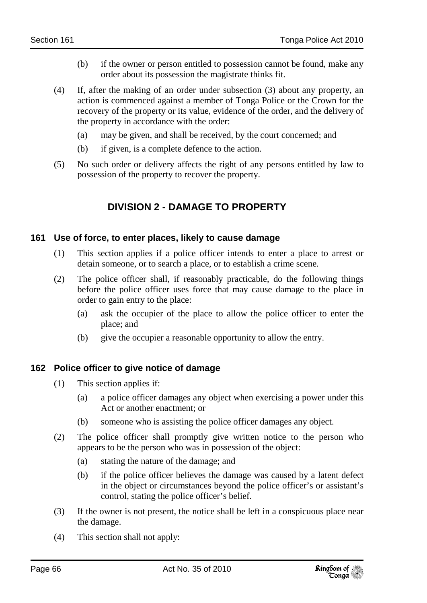- (b) if the owner or person entitled to possession cannot be found, make any order about its possession the magistrate thinks fit.
- (4) If, after the making of an order under subsection (3) about any property, an action is commenced against a member of Tonga Police or the Crown for the recovery of the property or its value, evidence of the order, and the delivery of the property in accordance with the order:
	- (a) may be given, and shall be received, by the court concerned; and
	- (b) if given, is a complete defence to the action.
- (5) No such order or delivery affects the right of any persons entitled by law to possession of the property to recover the property.

# **DIVISION 2 - DAMAGE TO PROPERTY**

#### **161 Use of force, to enter places, likely to cause damage**

- (1) This section applies if a police officer intends to enter a place to arrest or detain someone, or to search a place, or to establish a crime scene.
- (2) The police officer shall, if reasonably practicable, do the following things before the police officer uses force that may cause damage to the place in order to gain entry to the place:
	- (a) ask the occupier of the place to allow the police officer to enter the place; and
	- (b) give the occupier a reasonable opportunity to allow the entry.

#### **162 Police officer to give notice of damage**

- (1) This section applies if:
	- (a) a police officer damages any object when exercising a power under this Act or another enactment; or
	- (b) someone who is assisting the police officer damages any object.
- (2) The police officer shall promptly give written notice to the person who appears to be the person who was in possession of the object:
	- (a) stating the nature of the damage; and
	- (b) if the police officer believes the damage was caused by a latent defect in the object or circumstances beyond the police officer's or assistant's control, stating the police officer's belief.
- (3) If the owner is not present, the notice shall be left in a conspicuous place near the damage.
- (4) This section shall not apply:

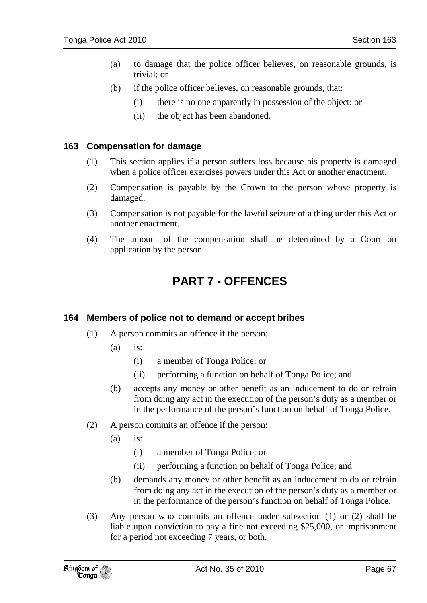- (a) to damage that the police officer believes, on reasonable grounds, is trivial; or
- (b) if the police officer believes, on reasonable grounds, that:
	- (i) there is no one apparently in possession of the object; or
	- (ii) the object has been abandoned.

#### **163 Compensation for damage**

- (1) This section applies if a person suffers loss because his property is damaged when a police officer exercises powers under this Act or another enactment.
- (2) Compensation is payable by the Crown to the person whose property is damaged.
- (3) Compensation is not payable for the lawful seizure of a thing under this Act or another enactment.
- (4) The amount of the compensation shall be determined by a Court on application by the person.

# **PART 7 - OFFENCES**

#### **164 Members of police not to demand or accept bribes**

- (1) A person commits an offence if the person:
	- $(a)$  is:
		- (i) a member of Tonga Police; or
		- (ii) performing a function on behalf of Tonga Police; and
	- (b) accepts any money or other benefit as an inducement to do or refrain from doing any act in the execution of the person's duty as a member or in the performance of the person's function on behalf of Tonga Police.
- (2) A person commits an offence if the person:
	- $(a)$  is:
		- (i) a member of Tonga Police; or
		- (ii) performing a function on behalf of Tonga Police; and
	- (b) demands any money or other benefit as an inducement to do or refrain from doing any act in the execution of the person's duty as a member or in the performance of the person's function on behalf of Tonga Police.
- (3) Any person who commits an offence under subsection (1) or (2) shall be liable upon conviction to pay a fine not exceeding \$25,000, or imprisonment for a period not exceeding 7 years, or both.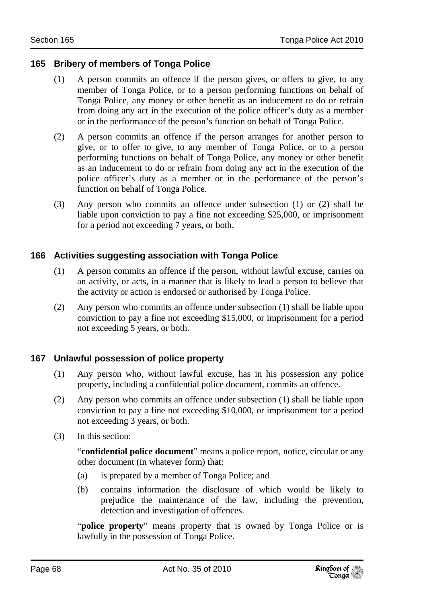#### **165 Bribery of members of Tonga Police**

- (1) A person commits an offence if the person gives, or offers to give, to any member of Tonga Police, or to a person performing functions on behalf of Tonga Police, any money or other benefit as an inducement to do or refrain from doing any act in the execution of the police officer's duty as a member or in the performance of the person's function on behalf of Tonga Police.
- (2) A person commits an offence if the person arranges for another person to give, or to offer to give, to any member of Tonga Police, or to a person performing functions on behalf of Tonga Police, any money or other benefit as an inducement to do or refrain from doing any act in the execution of the police officer's duty as a member or in the performance of the person's function on behalf of Tonga Police.
- (3) Any person who commits an offence under subsection (1) or (2) shall be liable upon conviction to pay a fine not exceeding \$25,000, or imprisonment for a period not exceeding 7 years, or both.

#### **166 Activities suggesting association with Tonga Police**

- (1) A person commits an offence if the person, without lawful excuse, carries on an activity, or acts, in a manner that is likely to lead a person to believe that the activity or action is endorsed or authorised by Tonga Police.
- (2) Any person who commits an offence under subsection (1) shall be liable upon conviction to pay a fine not exceeding \$15,000, or imprisonment for a period not exceeding 5 years, or both.

#### **167 Unlawful possession of police property**

- (1) Any person who, without lawful excuse, has in his possession any police property, including a confidential police document, commits an offence.
- (2) Any person who commits an offence under subsection (1) shall be liable upon conviction to pay a fine not exceeding \$10,000, or imprisonment for a period not exceeding 3 years, or both.
- (3) In this section:

"**confidential police document**" means a police report, notice, circular or any other document (in whatever form) that:

- (a) is prepared by a member of Tonga Police; and
- (b) contains information the disclosure of which would be likely to prejudice the maintenance of the law, including the prevention, detection and investigation of offences.

"**police property**" means property that is owned by Tonga Police or is lawfully in the possession of Tonga Police.

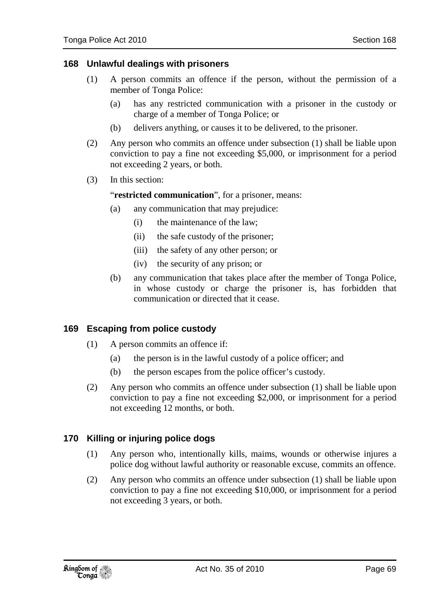#### **168 Unlawful dealings with prisoners**

- (1) A person commits an offence if the person, without the permission of a member of Tonga Police:
	- (a) has any restricted communication with a prisoner in the custody or charge of a member of Tonga Police; or
	- (b) delivers anything, or causes it to be delivered, to the prisoner.
- (2) Any person who commits an offence under subsection (1) shall be liable upon conviction to pay a fine not exceeding \$5,000, or imprisonment for a period not exceeding 2 years, or both.
- (3) In this section:

"**restricted communication**", for a prisoner, means:

- (a) any communication that may prejudice:
	- (i) the maintenance of the law;
	- (ii) the safe custody of the prisoner;
	- (iii) the safety of any other person; or
	- (iv) the security of any prison; or
- (b) any communication that takes place after the member of Tonga Police, in whose custody or charge the prisoner is, has forbidden that communication or directed that it cease.

#### **169 Escaping from police custody**

- (1) A person commits an offence if:
	- (a) the person is in the lawful custody of a police officer; and
	- (b) the person escapes from the police officer's custody.
- (2) Any person who commits an offence under subsection (1) shall be liable upon conviction to pay a fine not exceeding \$2,000, or imprisonment for a period not exceeding 12 months, or both.

#### **170 Killing or injuring police dogs**

- (1) Any person who, intentionally kills, maims, wounds or otherwise injures a police dog without lawful authority or reasonable excuse, commits an offence.
- (2) Any person who commits an offence under subsection (1) shall be liable upon conviction to pay a fine not exceeding \$10,000, or imprisonment for a period not exceeding 3 years, or both.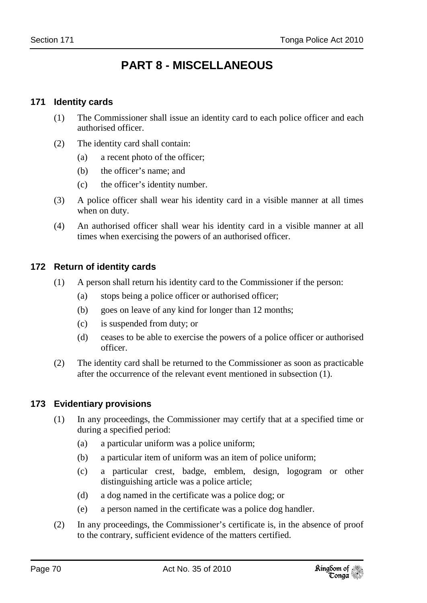# **PART 8 - MISCELLANEOUS**

## **171 Identity cards**

- (1) The Commissioner shall issue an identity card to each police officer and each authorised officer.
- (2) The identity card shall contain:
	- (a) a recent photo of the officer;
	- (b) the officer's name; and
	- (c) the officer's identity number.
- (3) A police officer shall wear his identity card in a visible manner at all times when on duty.
- (4) An authorised officer shall wear his identity card in a visible manner at all times when exercising the powers of an authorised officer.

## **172 Return of identity cards**

- (1) A person shall return his identity card to the Commissioner if the person:
	- (a) stops being a police officer or authorised officer;
	- (b) goes on leave of any kind for longer than 12 months;
	- (c) is suspended from duty; or
	- (d) ceases to be able to exercise the powers of a police officer or authorised officer.
- (2) The identity card shall be returned to the Commissioner as soon as practicable after the occurrence of the relevant event mentioned in subsection (1).

## **173 Evidentiary provisions**

- (1) In any proceedings, the Commissioner may certify that at a specified time or during a specified period:
	- (a) a particular uniform was a police uniform;
	- (b) a particular item of uniform was an item of police uniform;
	- (c) a particular crest, badge, emblem, design, logogram or other distinguishing article was a police article;
	- (d) a dog named in the certificate was a police dog; or
	- (e) a person named in the certificate was a police dog handler.
- (2) In any proceedings, the Commissioner's certificate is, in the absence of proof to the contrary, sufficient evidence of the matters certified.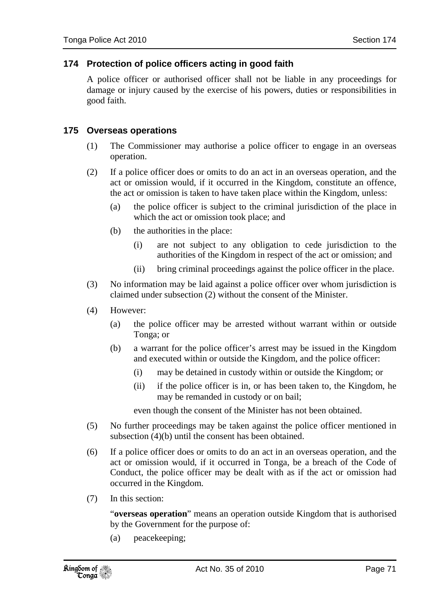### **174 Protection of police officers acting in good faith**

A police officer or authorised officer shall not be liable in any proceedings for damage or injury caused by the exercise of his powers, duties or responsibilities in good faith.

#### **175 Overseas operations**

- (1) The Commissioner may authorise a police officer to engage in an overseas operation.
- (2) If a police officer does or omits to do an act in an overseas operation, and the act or omission would, if it occurred in the Kingdom, constitute an offence, the act or omission is taken to have taken place within the Kingdom, unless:
	- (a) the police officer is subject to the criminal jurisdiction of the place in which the act or omission took place; and
	- (b) the authorities in the place:
		- (i) are not subject to any obligation to cede jurisdiction to the authorities of the Kingdom in respect of the act or omission; and
		- (ii) bring criminal proceedings against the police officer in the place.
- (3) No information may be laid against a police officer over whom jurisdiction is claimed under subsection (2) without the consent of the Minister.
- (4) However:
	- (a) the police officer may be arrested without warrant within or outside Tonga; or
	- (b) a warrant for the police officer's arrest may be issued in the Kingdom and executed within or outside the Kingdom, and the police officer:
		- (i) may be detained in custody within or outside the Kingdom; or
		- (ii) if the police officer is in, or has been taken to, the Kingdom, he may be remanded in custody or on bail;

even though the consent of the Minister has not been obtained.

- (5) No further proceedings may be taken against the police officer mentioned in subsection (4)(b) until the consent has been obtained.
- (6) If a police officer does or omits to do an act in an overseas operation, and the act or omission would, if it occurred in Tonga, be a breach of the Code of Conduct, the police officer may be dealt with as if the act or omission had occurred in the Kingdom.
- (7) In this section:

"**overseas operation**" means an operation outside Kingdom that is authorised by the Government for the purpose of:

(a) peacekeeping;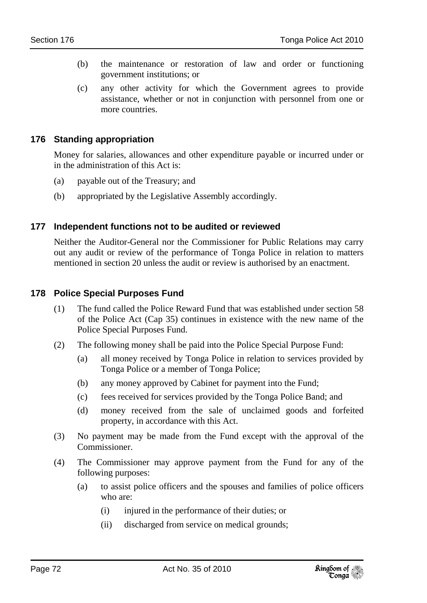- (b) the maintenance or restoration of law and order or functioning government institutions; or
- (c) any other activity for which the Government agrees to provide assistance, whether or not in conjunction with personnel from one or more countries.

#### **176 Standing appropriation**

Money for salaries, allowances and other expenditure payable or incurred under or in the administration of this Act is:

- (a) payable out of the Treasury; and
- (b) appropriated by the Legislative Assembly accordingly.

#### **177 Independent functions not to be audited or reviewed**

Neither the Auditor-General nor the Commissioner for Public Relations may carry out any audit or review of the performance of Tonga Police in relation to matters mentioned in section 20 unless the audit or review is authorised by an enactment.

### **178 Police Special Purposes Fund**

- (1) The fund called the Police Reward Fund that was established under section 58 of the Police Act (Cap 35) continues in existence with the new name of the Police Special Purposes Fund.
- (2) The following money shall be paid into the Police Special Purpose Fund:
	- (a) all money received by Tonga Police in relation to services provided by Tonga Police or a member of Tonga Police;
	- (b) any money approved by Cabinet for payment into the Fund;
	- (c) fees received for services provided by the Tonga Police Band; and
	- (d) money received from the sale of unclaimed goods and forfeited property, in accordance with this Act.
- (3) No payment may be made from the Fund except with the approval of the Commissioner.
- (4) The Commissioner may approve payment from the Fund for any of the following purposes:
	- (a) to assist police officers and the spouses and families of police officers who are:
		- (i) injured in the performance of their duties; or
		- (ii) discharged from service on medical grounds;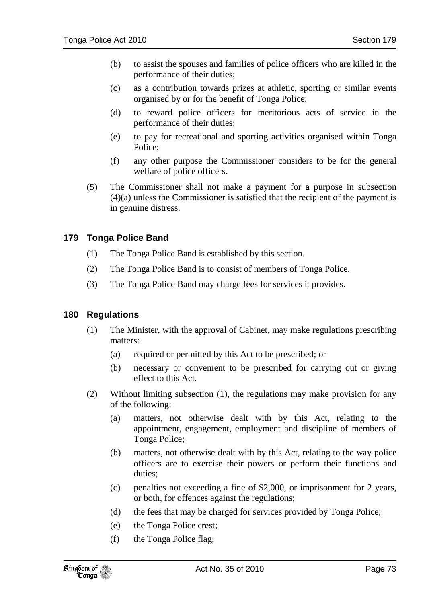- (b) to assist the spouses and families of police officers who are killed in the performance of their duties;
- (c) as a contribution towards prizes at athletic, sporting or similar events organised by or for the benefit of Tonga Police;
- (d) to reward police officers for meritorious acts of service in the performance of their duties;
- (e) to pay for recreational and sporting activities organised within Tonga Police;
- (f) any other purpose the Commissioner considers to be for the general welfare of police officers.
- (5) The Commissioner shall not make a payment for a purpose in subsection (4)(a) unless the Commissioner is satisfied that the recipient of the payment is in genuine distress.

### **179 Tonga Police Band**

- (1) The Tonga Police Band is established by this section.
- (2) The Tonga Police Band is to consist of members of Tonga Police.
- (3) The Tonga Police Band may charge fees for services it provides.

#### **180 Regulations**

- (1) The Minister, with the approval of Cabinet, may make regulations prescribing matters:
	- (a) required or permitted by this Act to be prescribed; or
	- (b) necessary or convenient to be prescribed for carrying out or giving effect to this Act.
- (2) Without limiting subsection (1), the regulations may make provision for any of the following:
	- (a) matters, not otherwise dealt with by this Act, relating to the appointment, engagement, employment and discipline of members of Tonga Police;
	- (b) matters, not otherwise dealt with by this Act, relating to the way police officers are to exercise their powers or perform their functions and duties;
	- (c) penalties not exceeding a fine of \$2,000, or imprisonment for 2 years, or both, for offences against the regulations;
	- (d) the fees that may be charged for services provided by Tonga Police;
	- (e) the Tonga Police crest;
	- (f) the Tonga Police flag;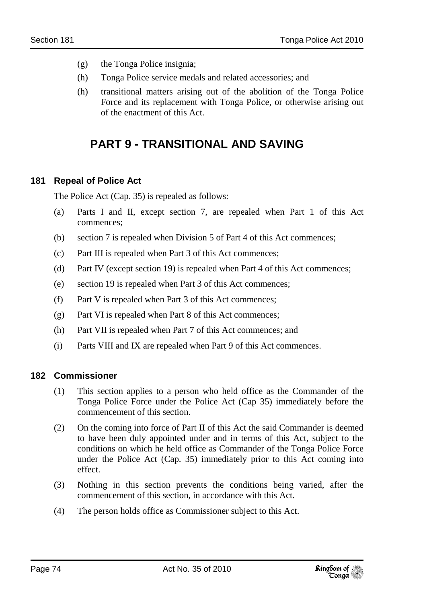- (g) the Tonga Police insignia;
- (h) Tonga Police service medals and related accessories; and
- (h) transitional matters arising out of the abolition of the Tonga Police Force and its replacement with Tonga Police, or otherwise arising out of the enactment of this Act.

# **PART 9 - TRANSITIONAL AND SAVING**

# **181 Repeal of Police Act**

The Police Act (Cap. 35) is repealed as follows:

- (a) Parts I and II, except section 7, are repealed when Part 1 of this Act commences;
- (b) section 7 is repealed when Division 5 of Part 4 of this Act commences;
- (c) Part III is repealed when Part 3 of this Act commences;
- (d) Part IV (except section 19) is repealed when Part 4 of this Act commences;
- (e) section 19 is repealed when Part 3 of this Act commences;
- (f) Part V is repealed when Part 3 of this Act commences;
- (g) Part VI is repealed when Part 8 of this Act commences;
- (h) Part VII is repealed when Part 7 of this Act commences; and
- (i) Parts VIII and IX are repealed when Part 9 of this Act commences.

# **182 Commissioner**

- (1) This section applies to a person who held office as the Commander of the Tonga Police Force under the Police Act (Cap 35) immediately before the commencement of this section.
- (2) On the coming into force of Part II of this Act the said Commander is deemed to have been duly appointed under and in terms of this Act, subject to the conditions on which he held office as Commander of the Tonga Police Force under the Police Act (Cap. 35) immediately prior to this Act coming into effect.
- (3) Nothing in this section prevents the conditions being varied, after the commencement of this section, in accordance with this Act.
- (4) The person holds office as Commissioner subject to this Act.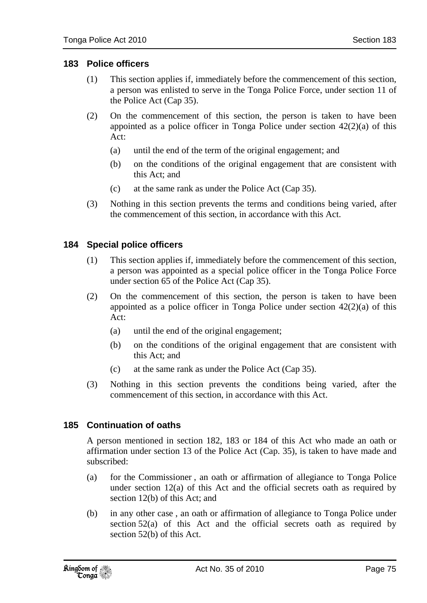### **183 Police officers**

- (1) This section applies if, immediately before the commencement of this section, a person was enlisted to serve in the Tonga Police Force, under section 11 of the Police Act (Cap 35).
- (2) On the commencement of this section, the person is taken to have been appointed as a police officer in Tonga Police under section 42(2)(a) of this Act:
	- (a) until the end of the term of the original engagement; and
	- (b) on the conditions of the original engagement that are consistent with this Act; and
	- (c) at the same rank as under the Police Act (Cap 35).
- (3) Nothing in this section prevents the terms and conditions being varied, after the commencement of this section, in accordance with this Act.

#### **184 Special police officers**

- (1) This section applies if, immediately before the commencement of this section, a person was appointed as a special police officer in the Tonga Police Force under section 65 of the Police Act (Cap 35).
- (2) On the commencement of this section, the person is taken to have been appointed as a police officer in Tonga Police under section  $42(2)(a)$  of this  $Act$ 
	- (a) until the end of the original engagement;
	- (b) on the conditions of the original engagement that are consistent with this Act; and
	- (c) at the same rank as under the Police Act (Cap 35).
- (3) Nothing in this section prevents the conditions being varied, after the commencement of this section, in accordance with this Act.

### **185 Continuation of oaths**

A person mentioned in section 182, 183 or 184 of this Act who made an oath or affirmation under section 13 of the Police Act (Cap. 35), is taken to have made and subscribed:

- (a) for the Commissioner , an oath or affirmation of allegiance to Tonga Police under section 12(a) of this Act and the official secrets oath as required by section 12(b) of this Act; and
- (b) in any other case , an oath or affirmation of allegiance to Tonga Police under section 52(a) of this Act and the official secrets oath as required by section 52(b) of this Act.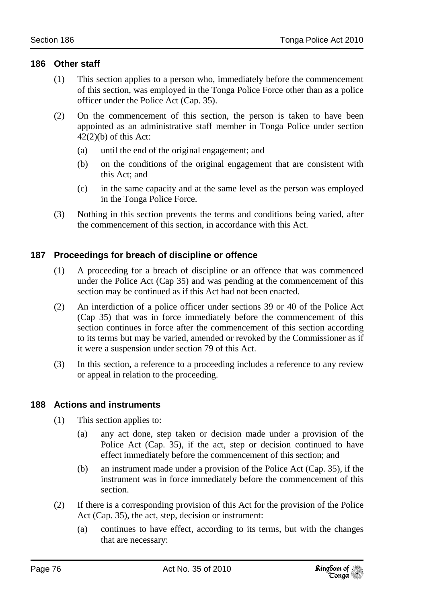#### **186 Other staff**

- (1) This section applies to a person who, immediately before the commencement of this section, was employed in the Tonga Police Force other than as a police officer under the Police Act (Cap. 35).
- (2) On the commencement of this section, the person is taken to have been appointed as an administrative staff member in Tonga Police under section  $42(2)(b)$  of this Act:
	- (a) until the end of the original engagement; and
	- (b) on the conditions of the original engagement that are consistent with this Act; and
	- (c) in the same capacity and at the same level as the person was employed in the Tonga Police Force.
- (3) Nothing in this section prevents the terms and conditions being varied, after the commencement of this section, in accordance with this Act.

# **187 Proceedings for breach of discipline or offence**

- (1) A proceeding for a breach of discipline or an offence that was commenced under the Police Act (Cap 35) and was pending at the commencement of this section may be continued as if this Act had not been enacted.
- (2) An interdiction of a police officer under sections 39 or 40 of the Police Act (Cap 35) that was in force immediately before the commencement of this section continues in force after the commencement of this section according to its terms but may be varied, amended or revoked by the Commissioner as if it were a suspension under section 79 of this Act.
- (3) In this section, a reference to a proceeding includes a reference to any review or appeal in relation to the proceeding.

# **188 Actions and instruments**

- (1) This section applies to:
	- (a) any act done, step taken or decision made under a provision of the Police Act (Cap. 35), if the act, step or decision continued to have effect immediately before the commencement of this section; and
	- (b) an instrument made under a provision of the Police Act (Cap. 35), if the instrument was in force immediately before the commencement of this section.
- (2) If there is a corresponding provision of this Act for the provision of the Police Act (Cap. 35), the act, step, decision or instrument:
	- (a) continues to have effect, according to its terms, but with the changes that are necessary: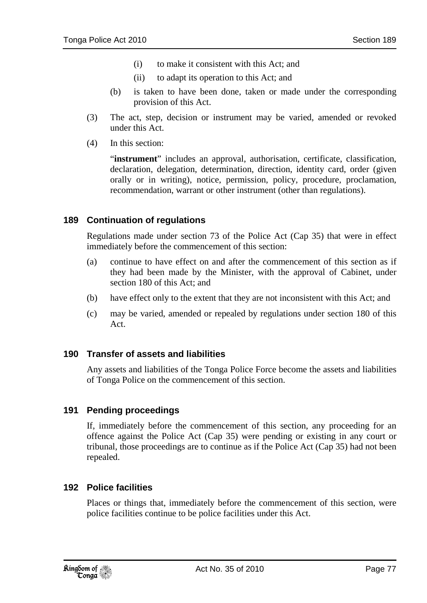- (i) to make it consistent with this Act; and
- (ii) to adapt its operation to this Act; and
- (b) is taken to have been done, taken or made under the corresponding provision of this Act.
- (3) The act, step, decision or instrument may be varied, amended or revoked under this Act.
- (4) In this section:

"**instrument**" includes an approval, authorisation, certificate, classification, declaration, delegation, determination, direction, identity card, order (given orally or in writing), notice, permission, policy, procedure, proclamation, recommendation, warrant or other instrument (other than regulations).

#### **189 Continuation of regulations**

Regulations made under section 73 of the Police Act (Cap 35) that were in effect immediately before the commencement of this section:

- (a) continue to have effect on and after the commencement of this section as if they had been made by the Minister, with the approval of Cabinet, under section 180 of this Act; and
- (b) have effect only to the extent that they are not inconsistent with this Act; and
- (c) may be varied, amended or repealed by regulations under section 180 of this Act.

#### **190 Transfer of assets and liabilities**

Any assets and liabilities of the Tonga Police Force become the assets and liabilities of Tonga Police on the commencement of this section.

#### **191 Pending proceedings**

If, immediately before the commencement of this section, any proceeding for an offence against the Police Act (Cap 35) were pending or existing in any court or tribunal, those proceedings are to continue as if the Police Act (Cap 35) had not been repealed.

#### **192 Police facilities**

Places or things that, immediately before the commencement of this section, were police facilities continue to be police facilities under this Act.

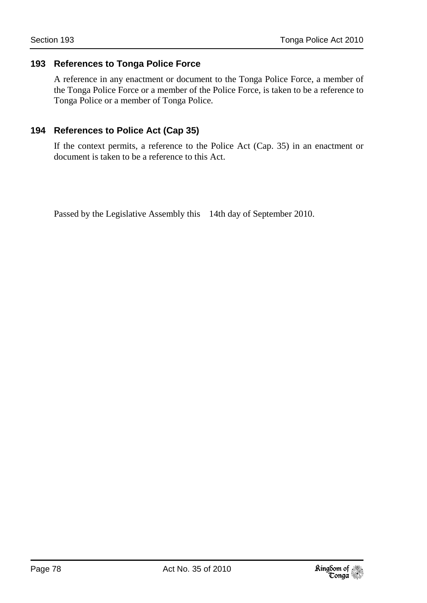#### **193 References to Tonga Police Force**

A reference in any enactment or document to the Tonga Police Force, a member of the Tonga Police Force or a member of the Police Force, is taken to be a reference to Tonga Police or a member of Tonga Police.

### **194 References to Police Act (Cap 35)**

If the context permits, a reference to the Police Act (Cap. 35) in an enactment or document is taken to be a reference to this Act.

Passed by the Legislative Assembly this 14th day of September 2010.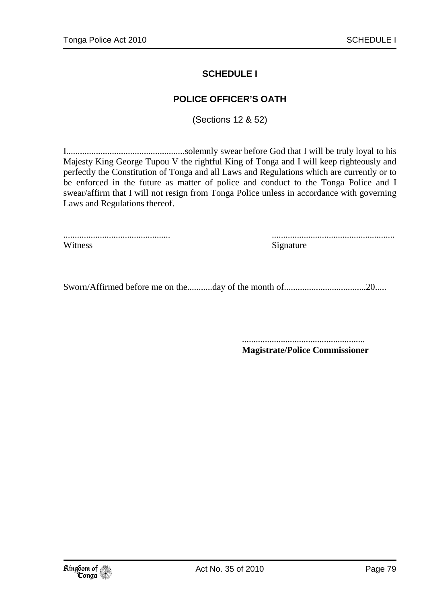## **SCHEDULE I**

### **POLICE OFFICER'S OATH**

(Sections 12 & 52)

I....................................................solemnly swear before God that I will be truly loyal to his Majesty King George Tupou V the rightful King of Tonga and I will keep righteously and perfectly the Constitution of Tonga and all Laws and Regulations which are currently or to be enforced in the future as matter of police and conduct to the Tonga Police and I swear/affirm that I will not resign from Tonga Police unless in accordance with governing Laws and Regulations thereof.

............................................... ...................................................... Witness Signature

Sworn/Affirmed before me on the...........day of the month of....................................20.....

 ...................................................... **Magistrate/Police Commissioner**